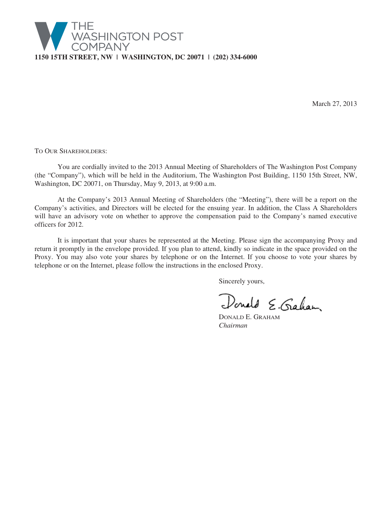

March 27, 2013

TO OUR SHAREHOLDERS:

You are cordially invited to the 2013 Annual Meeting of Shareholders of The Washington Post Company (the "Company"), which will be held in the Auditorium, The Washington Post Building, 1150 15th Street, NW, Washington, DC 20071, on Thursday, May 9, 2013, at 9:00 a.m.

At the Company's 2013 Annual Meeting of Shareholders (the "Meeting"), there will be a report on the Company's activities, and Directors will be elected for the ensuing year. In addition, the Class A Shareholders will have an advisory vote on whether to approve the compensation paid to the Company's named executive officers for 2012.

It is important that your shares be represented at the Meeting. Please sign the accompanying Proxy and return it promptly in the envelope provided. If you plan to attend, kindly so indicate in the space provided on the Proxy. You may also vote your shares by telephone or on the Internet. If you choose to vote your shares by telephone or on the Internet, please follow the instructions in the enclosed Proxy.

Sincerely yours,

Donald E. Graham

DONALD E. GRAHAM *Chairman*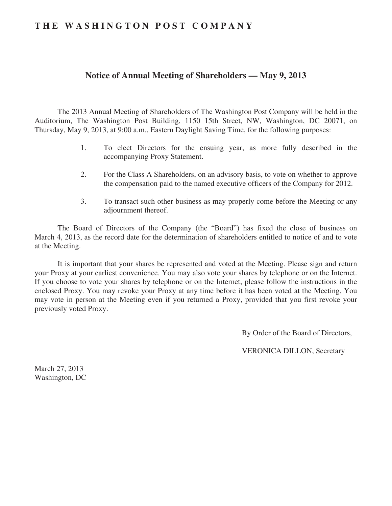# **THE WASHINGTON POST COMPANY**

# **Notice of Annual Meeting of Shareholders — May 9, 2013**

The 2013 Annual Meeting of Shareholders of The Washington Post Company will be held in the Auditorium, The Washington Post Building, 1150 15th Street, NW, Washington, DC 20071, on Thursday, May 9, 2013, at 9:00 a.m., Eastern Daylight Saving Time, for the following purposes:

- 1. To elect Directors for the ensuing year, as more fully described in the accompanying Proxy Statement.
- 2. For the Class A Shareholders, on an advisory basis, to vote on whether to approve the compensation paid to the named executive officers of the Company for 2012.
- 3. To transact such other business as may properly come before the Meeting or any adjournment thereof.

The Board of Directors of the Company (the "Board") has fixed the close of business on March 4, 2013, as the record date for the determination of shareholders entitled to notice of and to vote at the Meeting.

It is important that your shares be represented and voted at the Meeting. Please sign and return your Proxy at your earliest convenience. You may also vote your shares by telephone or on the Internet. If you choose to vote your shares by telephone or on the Internet, please follow the instructions in the enclosed Proxy. You may revoke your Proxy at any time before it has been voted at the Meeting. You may vote in person at the Meeting even if you returned a Proxy, provided that you first revoke your previously voted Proxy.

By Order of the Board of Directors,

VERONICA DILLON, Secretary

March 27, 2013 Washington, DC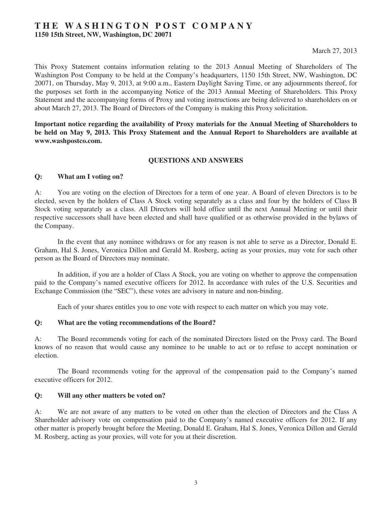# **THE WASHINGTON POST COMPANY 1150 15th Street, NW, Washington, DC 20071**

## March 27, 2013

This Proxy Statement contains information relating to the 2013 Annual Meeting of Shareholders of The Washington Post Company to be held at the Company's headquarters, 1150 15th Street, NW, Washington, DC 20071, on Thursday, May 9, 2013, at 9:00 a.m., Eastern Daylight Saving Time, or any adjournments thereof, for the purposes set forth in the accompanying Notice of the 2013 Annual Meeting of Shareholders. This Proxy Statement and the accompanying forms of Proxy and voting instructions are being delivered to shareholders on or about March 27, 2013. The Board of Directors of the Company is making this Proxy solicitation.

**Important notice regarding the availability of Proxy materials for the Annual Meeting of Shareholders to be held on May 9, 2013. This Proxy Statement and the Annual Report to Shareholders are available at www.washpostco.com.**

## **QUESTIONS AND ANSWERS**

## **Q: What am I voting on?**

A: You are voting on the election of Directors for a term of one year. A Board of eleven Directors is to be elected, seven by the holders of Class A Stock voting separately as a class and four by the holders of Class B Stock voting separately as a class. All Directors will hold office until the next Annual Meeting or until their respective successors shall have been elected and shall have qualified or as otherwise provided in the bylaws of the Company.

In the event that any nominee withdraws or for any reason is not able to serve as a Director, Donald E. Graham, Hal S. Jones, Veronica Dillon and Gerald M. Rosberg, acting as your proxies, may vote for such other person as the Board of Directors may nominate.

In addition, if you are a holder of Class A Stock, you are voting on whether to approve the compensation paid to the Company's named executive officers for 2012. In accordance with rules of the U.S. Securities and Exchange Commission (the "SEC"), these votes are advisory in nature and non-binding.

Each of your shares entitles you to one vote with respect to each matter on which you may vote.

## **Q: What are the voting recommendations of the Board?**

A: The Board recommends voting for each of the nominated Directors listed on the Proxy card. The Board knows of no reason that would cause any nominee to be unable to act or to refuse to accept nomination or election.

The Board recommends voting for the approval of the compensation paid to the Company's named executive officers for 2012.

## **Q: Will any other matters be voted on?**

A: We are not aware of any matters to be voted on other than the election of Directors and the Class A Shareholder advisory vote on compensation paid to the Company's named executive officers for 2012. If any other matter is properly brought before the Meeting, Donald E. Graham, Hal S. Jones, Veronica Dillon and Gerald M. Rosberg, acting as your proxies, will vote for you at their discretion.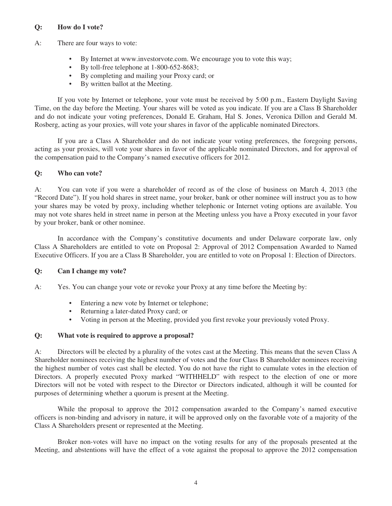# **Q: How do I vote?**

- A: There are four ways to vote:
	- By Internet at www.investorvote.com. We encourage you to vote this way;
	- By toll-free telephone at 1-800-652-8683;
	- By completing and mailing your Proxy card; or
	- By written ballot at the Meeting.

If you vote by Internet or telephone, your vote must be received by 5:00 p.m., Eastern Daylight Saving Time, on the day before the Meeting. Your shares will be voted as you indicate. If you are a Class B Shareholder and do not indicate your voting preferences, Donald E. Graham, Hal S. Jones, Veronica Dillon and Gerald M. Rosberg, acting as your proxies, will vote your shares in favor of the applicable nominated Directors.

If you are a Class A Shareholder and do not indicate your voting preferences, the foregoing persons, acting as your proxies, will vote your shares in favor of the applicable nominated Directors, and for approval of the compensation paid to the Company's named executive officers for 2012.

# **Q: Who can vote?**

A: You can vote if you were a shareholder of record as of the close of business on March 4, 2013 (the "Record Date"). If you hold shares in street name, your broker, bank or other nominee will instruct you as to how your shares may be voted by proxy, including whether telephonic or Internet voting options are available. You may not vote shares held in street name in person at the Meeting unless you have a Proxy executed in your favor by your broker, bank or other nominee.

In accordance with the Company's constitutive documents and under Delaware corporate law, only Class A Shareholders are entitled to vote on Proposal 2: Approval of 2012 Compensation Awarded to Named Executive Officers. If you are a Class B Shareholder, you are entitled to vote on Proposal 1: Election of Directors.

## **Q: Can I change my vote?**

A: Yes. You can change your vote or revoke your Proxy at any time before the Meeting by:

- Entering a new vote by Internet or telephone;
- Returning a later-dated Proxy card; or
- Voting in person at the Meeting, provided you first revoke your previously voted Proxy.

# **Q: What vote is required to approve a proposal?**

A: Directors will be elected by a plurality of the votes cast at the Meeting. This means that the seven Class A Shareholder nominees receiving the highest number of votes and the four Class B Shareholder nominees receiving the highest number of votes cast shall be elected. You do not have the right to cumulate votes in the election of Directors. A properly executed Proxy marked "WITHHELD" with respect to the election of one or more Directors will not be voted with respect to the Director or Directors indicated, although it will be counted for purposes of determining whether a quorum is present at the Meeting.

While the proposal to approve the 2012 compensation awarded to the Company's named executive officers is non-binding and advisory in nature, it will be approved only on the favorable vote of a majority of the Class A Shareholders present or represented at the Meeting.

Broker non-votes will have no impact on the voting results for any of the proposals presented at the Meeting, and abstentions will have the effect of a vote against the proposal to approve the 2012 compensation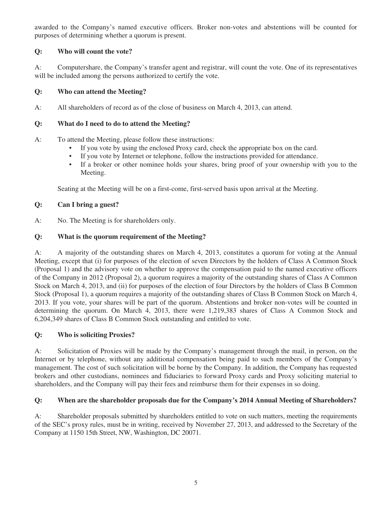awarded to the Company's named executive officers. Broker non-votes and abstentions will be counted for purposes of determining whether a quorum is present.

# **Q: Who will count the vote?**

A: Computershare, the Company's transfer agent and registrar, will count the vote. One of its representatives will be included among the persons authorized to certify the vote.

# **Q: Who can attend the Meeting?**

A: All shareholders of record as of the close of business on March 4, 2013, can attend.

# **Q: What do I need to do to attend the Meeting?**

A: To attend the Meeting, please follow these instructions:

- If you vote by using the enclosed Proxy card, check the appropriate box on the card.
- If you vote by Internet or telephone, follow the instructions provided for attendance.
- If a broker or other nominee holds your shares, bring proof of your ownership with you to the Meeting.

Seating at the Meeting will be on a first-come, first-served basis upon arrival at the Meeting.

# **Q: Can I bring a guest?**

A: No. The Meeting is for shareholders only.

# **Q: What is the quorum requirement of the Meeting?**

A: A majority of the outstanding shares on March 4, 2013, constitutes a quorum for voting at the Annual Meeting, except that (i) for purposes of the election of seven Directors by the holders of Class A Common Stock (Proposal 1) and the advisory vote on whether to approve the compensation paid to the named executive officers of the Company in 2012 (Proposal 2), a quorum requires a majority of the outstanding shares of Class A Common Stock on March 4, 2013, and (ii) for purposes of the election of four Directors by the holders of Class B Common Stock (Proposal 1), a quorum requires a majority of the outstanding shares of Class B Common Stock on March 4, 2013. If you vote, your shares will be part of the quorum. Abstentions and broker non-votes will be counted in determining the quorum. On March 4, 2013, there were 1,219,383 shares of Class A Common Stock and 6,204,349 shares of Class B Common Stock outstanding and entitled to vote.

# **Q: Who is soliciting Proxies?**

A: Solicitation of Proxies will be made by the Company's management through the mail, in person, on the Internet or by telephone, without any additional compensation being paid to such members of the Company's management. The cost of such solicitation will be borne by the Company. In addition, the Company has requested brokers and other custodians, nominees and fiduciaries to forward Proxy cards and Proxy soliciting material to shareholders, and the Company will pay their fees and reimburse them for their expenses in so doing.

# **Q: When are the shareholder proposals due for the Company's 2014 Annual Meeting of Shareholders?**

A: Shareholder proposals submitted by shareholders entitled to vote on such matters, meeting the requirements of the SEC's proxy rules, must be in writing, received by November 27, 2013, and addressed to the Secretary of the Company at 1150 15th Street, NW, Washington, DC 20071.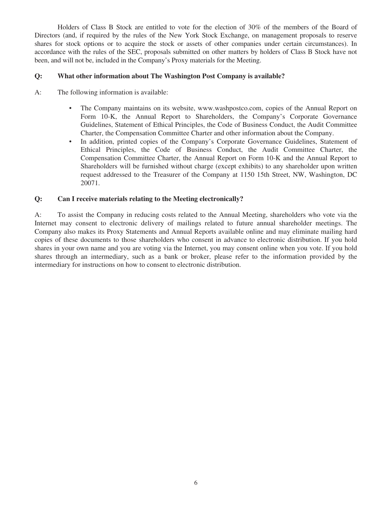Holders of Class B Stock are entitled to vote for the election of 30% of the members of the Board of Directors (and, if required by the rules of the New York Stock Exchange, on management proposals to reserve shares for stock options or to acquire the stock or assets of other companies under certain circumstances). In accordance with the rules of the SEC, proposals submitted on other matters by holders of Class B Stock have not been, and will not be, included in the Company's Proxy materials for the Meeting.

# **Q: What other information about The Washington Post Company is available?**

- A: The following information is available:
	- The Company maintains on its website, www.washpostco.com, copies of the Annual Report on Form 10-K, the Annual Report to Shareholders, the Company's Corporate Governance Guidelines, Statement of Ethical Principles, the Code of Business Conduct, the Audit Committee Charter, the Compensation Committee Charter and other information about the Company.
	- In addition, printed copies of the Company's Corporate Governance Guidelines, Statement of Ethical Principles, the Code of Business Conduct, the Audit Committee Charter, the Compensation Committee Charter, the Annual Report on Form 10-K and the Annual Report to Shareholders will be furnished without charge (except exhibits) to any shareholder upon written request addressed to the Treasurer of the Company at 1150 15th Street, NW, Washington, DC 20071.

# **Q: Can I receive materials relating to the Meeting electronically?**

A: To assist the Company in reducing costs related to the Annual Meeting, shareholders who vote via the Internet may consent to electronic delivery of mailings related to future annual shareholder meetings. The Company also makes its Proxy Statements and Annual Reports available online and may eliminate mailing hard copies of these documents to those shareholders who consent in advance to electronic distribution. If you hold shares in your own name and you are voting via the Internet, you may consent online when you vote. If you hold shares through an intermediary, such as a bank or broker, please refer to the information provided by the intermediary for instructions on how to consent to electronic distribution.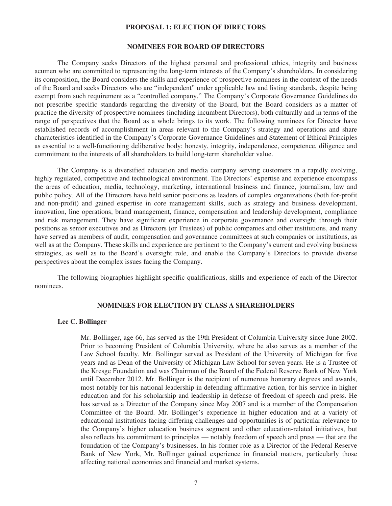#### **PROPOSAL 1: ELECTION OF DIRECTORS**

#### **NOMINEES FOR BOARD OF DIRECTORS**

The Company seeks Directors of the highest personal and professional ethics, integrity and business acumen who are committed to representing the long-term interests of the Company's shareholders. In considering its composition, the Board considers the skills and experience of prospective nominees in the context of the needs of the Board and seeks Directors who are "independent" under applicable law and listing standards, despite being exempt from such requirement as a "controlled company." The Company's Corporate Governance Guidelines do not prescribe specific standards regarding the diversity of the Board, but the Board considers as a matter of practice the diversity of prospective nominees (including incumbent Directors), both culturally and in terms of the range of perspectives that the Board as a whole brings to its work. The following nominees for Director have established records of accomplishment in areas relevant to the Company's strategy and operations and share characteristics identified in the Company's Corporate Governance Guidelines and Statement of Ethical Principles as essential to a well-functioning deliberative body: honesty, integrity, independence, competence, diligence and commitment to the interests of all shareholders to build long-term shareholder value.

The Company is a diversified education and media company serving customers in a rapidly evolving, highly regulated, competitive and technological environment. The Directors' expertise and experience encompass the areas of education, media, technology, marketing, international business and finance, journalism, law and public policy. All of the Directors have held senior positions as leaders of complex organizations (both for-profit and non-profit) and gained expertise in core management skills, such as strategy and business development, innovation, line operations, brand management, finance, compensation and leadership development, compliance and risk management. They have significant experience in corporate governance and oversight through their positions as senior executives and as Directors (or Trustees) of public companies and other institutions, and many have served as members of audit, compensation and governance committees at such companies or institutions, as well as at the Company. These skills and experience are pertinent to the Company's current and evolving business strategies, as well as to the Board's oversight role, and enable the Company's Directors to provide diverse perspectives about the complex issues facing the Company.

The following biographies highlight specific qualifications, skills and experience of each of the Director nominees.

## **NOMINEES FOR ELECTION BY CLASS A SHAREHOLDERS**

#### **Lee C. Bollinger**

Mr. Bollinger, age 66, has served as the 19th President of Columbia University since June 2002. Prior to becoming President of Columbia University, where he also serves as a member of the Law School faculty, Mr. Bollinger served as President of the University of Michigan for five years and as Dean of the University of Michigan Law School for seven years. He is a Trustee of the Kresge Foundation and was Chairman of the Board of the Federal Reserve Bank of New York until December 2012. Mr. Bollinger is the recipient of numerous honorary degrees and awards, most notably for his national leadership in defending affirmative action, for his service in higher education and for his scholarship and leadership in defense of freedom of speech and press. He has served as a Director of the Company since May 2007 and is a member of the Compensation Committee of the Board. Mr. Bollinger's experience in higher education and at a variety of educational institutions facing differing challenges and opportunities is of particular relevance to the Company's higher education business segment and other education-related initiatives, but also reflects his commitment to principles — notably freedom of speech and press — that are the foundation of the Company's businesses. In his former role as a Director of the Federal Reserve Bank of New York, Mr. Bollinger gained experience in financial matters, particularly those affecting national economies and financial and market systems.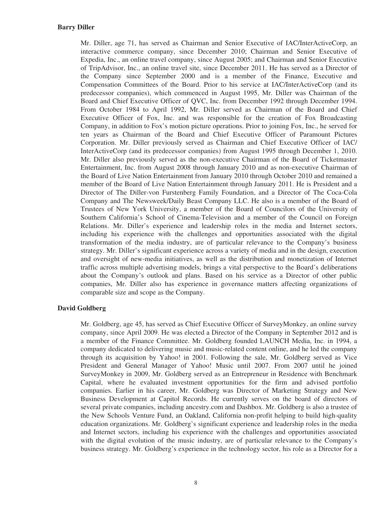Mr. Diller, age 71, has served as Chairman and Senior Executive of IAC/InterActiveCorp, an interactive commerce company, since December 2010; Chairman and Senior Executive of Expedia, Inc., an online travel company, since August 2005; and Chairman and Senior Executive of TripAdvisor, Inc., an online travel site, since December 2011. He has served as a Director of the Company since September 2000 and is a member of the Finance, Executive and Compensation Committees of the Board. Prior to his service at IAC/InterActiveCorp (and its predecessor companies), which commenced in August 1995, Mr. Diller was Chairman of the Board and Chief Executive Officer of QVC, Inc. from December 1992 through December 1994. From October 1984 to April 1992, Mr. Diller served as Chairman of the Board and Chief Executive Officer of Fox, Inc. and was responsible for the creation of Fox Broadcasting Company, in addition to Fox's motion picture operations. Prior to joining Fox, Inc., he served for ten years as Chairman of the Board and Chief Executive Officer of Paramount Pictures Corporation. Mr. Diller previously served as Chairman and Chief Executive Officer of IAC/ InterActiveCorp (and its predecessor companies) from August 1995 through December 1, 2010. Mr. Diller also previously served as the non-executive Chairman of the Board of Ticketmaster Entertainment, Inc. from August 2008 through January 2010 and as non-executive Chairman of the Board of Live Nation Entertainment from January 2010 through October 2010 and remained a member of the Board of Live Nation Entertainment through January 2011. He is President and a Director of The Diller-von Furstenberg Family Foundation, and a Director of The Coca-Cola Company and The Newsweek/Daily Beast Company LLC. He also is a member of the Board of Trustees of New York University, a member of the Board of Councilors of the University of Southern California's School of Cinema-Television and a member of the Council on Foreign Relations. Mr. Diller's experience and leadership roles in the media and Internet sectors, including his experience with the challenges and opportunities associated with the digital transformation of the media industry, are of particular relevance to the Company's business strategy. Mr. Diller's significant experience across a variety of media and in the design, execution and oversight of new-media initiatives, as well as the distribution and monetization of Internet traffic across multiple advertising models, brings a vital perspective to the Board's deliberations about the Company's outlook and plans. Based on his service as a Director of other public companies, Mr. Diller also has experience in governance matters affecting organizations of comparable size and scope as the Company.

## **David Goldberg**

Mr. Goldberg, age 45, has served as Chief Executive Officer of SurveyMonkey, an online survey company, since April 2009. He was elected a Director of the Company in September 2012 and is a member of the Finance Committee. Mr. Goldberg founded LAUNCH Media, Inc. in 1994, a company dedicated to delivering music and music-related content online, and he led the company through its acquisition by Yahoo! in 2001. Following the sale, Mr. Goldberg served as Vice President and General Manager of Yahoo! Music until 2007. From 2007 until he joined SurveyMonkey in 2009, Mr. Goldberg served as an Entrepreneur in Residence with Benchmark Capital, where he evaluated investment opportunities for the firm and advised portfolio companies. Earlier in his career, Mr. Goldberg was Director of Marketing Strategy and New Business Development at Capitol Records. He currently serves on the board of directors of several private companies, including ancestry.com and Dashbox. Mr. Goldberg is also a trustee of the New Schools Venture Fund, an Oakland, California non-profit helping to build high-quality education organizations. Mr. Goldberg's significant experience and leadership roles in the media and Internet sectors, including his experience with the challenges and opportunities associated with the digital evolution of the music industry, are of particular relevance to the Company's business strategy. Mr. Goldberg's experience in the technology sector, his role as a Director for a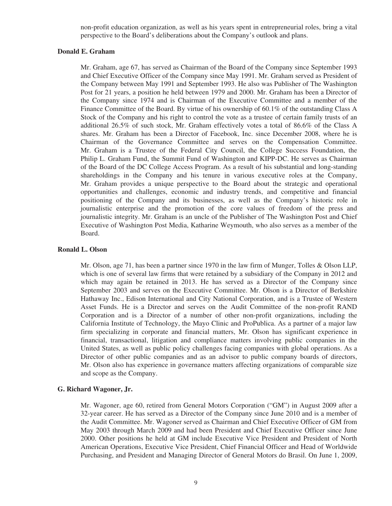non-profit education organization, as well as his years spent in entrepreneurial roles, bring a vital perspective to the Board's deliberations about the Company's outlook and plans.

## **Donald E. Graham**

Mr. Graham, age 67, has served as Chairman of the Board of the Company since September 1993 and Chief Executive Officer of the Company since May 1991. Mr. Graham served as President of the Company between May 1991 and September 1993. He also was Publisher of The Washington Post for 21 years, a position he held between 1979 and 2000. Mr. Graham has been a Director of the Company since 1974 and is Chairman of the Executive Committee and a member of the Finance Committee of the Board. By virtue of his ownership of 60.1% of the outstanding Class A Stock of the Company and his right to control the vote as a trustee of certain family trusts of an additional 26.5% of such stock, Mr. Graham effectively votes a total of 86.6% of the Class A shares. Mr. Graham has been a Director of Facebook, Inc. since December 2008, where he is Chairman of the Governance Committee and serves on the Compensation Committee. Mr. Graham is a Trustee of the Federal City Council, the College Success Foundation, the Philip L. Graham Fund, the Summit Fund of Washington and KIPP-DC. He serves as Chairman of the Board of the DC College Access Program. As a result of his substantial and long-standing shareholdings in the Company and his tenure in various executive roles at the Company, Mr. Graham provides a unique perspective to the Board about the strategic and operational opportunities and challenges, economic and industry trends, and competitive and financial positioning of the Company and its businesses, as well as the Company's historic role in journalistic enterprise and the promotion of the core values of freedom of the press and journalistic integrity. Mr. Graham is an uncle of the Publisher of The Washington Post and Chief Executive of Washington Post Media, Katharine Weymouth, who also serves as a member of the Board.

## **Ronald L. Olson**

Mr. Olson, age 71, has been a partner since 1970 in the law firm of Munger, Tolles & Olson LLP, which is one of several law firms that were retained by a subsidiary of the Company in 2012 and which may again be retained in 2013. He has served as a Director of the Company since September 2003 and serves on the Executive Committee. Mr. Olson is a Director of Berkshire Hathaway Inc., Edison International and City National Corporation, and is a Trustee of Western Asset Funds. He is a Director and serves on the Audit Committee of the non-profit RAND Corporation and is a Director of a number of other non-profit organizations, including the California Institute of Technology, the Mayo Clinic and ProPublica. As a partner of a major law firm specializing in corporate and financial matters, Mr. Olson has significant experience in financial, transactional, litigation and compliance matters involving public companies in the United States, as well as public policy challenges facing companies with global operations. As a Director of other public companies and as an advisor to public company boards of directors, Mr. Olson also has experience in governance matters affecting organizations of comparable size and scope as the Company.

# **G. Richard Wagoner, Jr.**

Mr. Wagoner, age 60, retired from General Motors Corporation ("GM") in August 2009 after a 32-year career. He has served as a Director of the Company since June 2010 and is a member of the Audit Committee. Mr. Wagoner served as Chairman and Chief Executive Officer of GM from May 2003 through March 2009 and had been President and Chief Executive Officer since June 2000. Other positions he held at GM include Executive Vice President and President of North American Operations, Executive Vice President, Chief Financial Officer and Head of Worldwide Purchasing, and President and Managing Director of General Motors do Brasil. On June 1, 2009,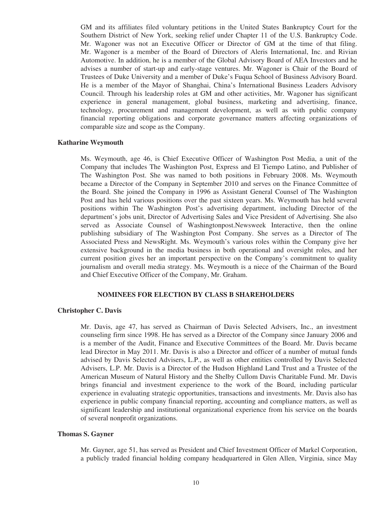GM and its affiliates filed voluntary petitions in the United States Bankruptcy Court for the Southern District of New York, seeking relief under Chapter 11 of the U.S. Bankruptcy Code. Mr. Wagoner was not an Executive Officer or Director of GM at the time of that filing. Mr. Wagoner is a member of the Board of Directors of Aleris International, Inc. and Rivian Automotive. In addition, he is a member of the Global Advisory Board of AEA Investors and he advises a number of start-up and early-stage ventures. Mr. Wagoner is Chair of the Board of Trustees of Duke University and a member of Duke's Fuqua School of Business Advisory Board. He is a member of the Mayor of Shanghai, China's International Business Leaders Advisory Council. Through his leadership roles at GM and other activities, Mr. Wagoner has significant experience in general management, global business, marketing and advertising, finance, technology, procurement and management development, as well as with public company financial reporting obligations and corporate governance matters affecting organizations of comparable size and scope as the Company.

#### **Katharine Weymouth**

Ms. Weymouth, age 46, is Chief Executive Officer of Washington Post Media, a unit of the Company that includes The Washington Post, Express and El Tiempo Latino, and Publisher of The Washington Post. She was named to both positions in February 2008. Ms. Weymouth became a Director of the Company in September 2010 and serves on the Finance Committee of the Board. She joined the Company in 1996 as Assistant General Counsel of The Washington Post and has held various positions over the past sixteen years. Ms. Weymouth has held several positions within The Washington Post's advertising department, including Director of the department's jobs unit, Director of Advertising Sales and Vice President of Advertising. She also served as Associate Counsel of Washingtonpost.Newsweek Interactive, then the online publishing subsidiary of The Washington Post Company. She serves as a Director of The Associated Press and NewsRight. Ms. Weymouth's various roles within the Company give her extensive background in the media business in both operational and oversight roles, and her current position gives her an important perspective on the Company's commitment to quality journalism and overall media strategy. Ms. Weymouth is a niece of the Chairman of the Board and Chief Executive Officer of the Company, Mr. Graham.

# **NOMINEES FOR ELECTION BY CLASS B SHAREHOLDERS**

#### **Christopher C. Davis**

Mr. Davis, age 47, has served as Chairman of Davis Selected Advisers, Inc., an investment counseling firm since 1998. He has served as a Director of the Company since January 2006 and is a member of the Audit, Finance and Executive Committees of the Board. Mr. Davis became lead Director in May 2011. Mr. Davis is also a Director and officer of a number of mutual funds advised by Davis Selected Advisers, L.P., as well as other entities controlled by Davis Selected Advisers, L.P. Mr. Davis is a Director of the Hudson Highland Land Trust and a Trustee of the American Museum of Natural History and the Shelby Cullom Davis Charitable Fund. Mr. Davis brings financial and investment experience to the work of the Board, including particular experience in evaluating strategic opportunities, transactions and investments. Mr. Davis also has experience in public company financial reporting, accounting and compliance matters, as well as significant leadership and institutional organizational experience from his service on the boards of several nonprofit organizations.

### **Thomas S. Gayner**

Mr. Gayner, age 51, has served as President and Chief Investment Officer of Markel Corporation, a publicly traded financial holding company headquartered in Glen Allen, Virginia, since May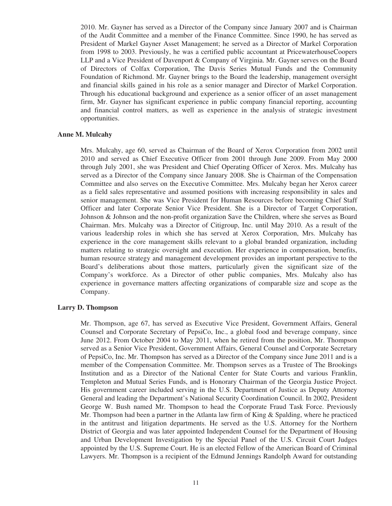2010. Mr. Gayner has served as a Director of the Company since January 2007 and is Chairman of the Audit Committee and a member of the Finance Committee. Since 1990, he has served as President of Markel Gayner Asset Management; he served as a Director of Markel Corporation from 1998 to 2003. Previously, he was a certified public accountant at PricewaterhouseCoopers LLP and a Vice President of Davenport & Company of Virginia. Mr. Gayner serves on the Board of Directors of Colfax Corporation, The Davis Series Mutual Funds and the Community Foundation of Richmond. Mr. Gayner brings to the Board the leadership, management oversight and financial skills gained in his role as a senior manager and Director of Markel Corporation. Through his educational background and experience as a senior officer of an asset management firm, Mr. Gayner has significant experience in public company financial reporting, accounting and financial control matters, as well as experience in the analysis of strategic investment opportunities.

#### **Anne M. Mulcahy**

Mrs. Mulcahy, age 60, served as Chairman of the Board of Xerox Corporation from 2002 until 2010 and served as Chief Executive Officer from 2001 through June 2009. From May 2000 through July 2001, she was President and Chief Operating Officer of Xerox. Mrs. Mulcahy has served as a Director of the Company since January 2008. She is Chairman of the Compensation Committee and also serves on the Executive Committee. Mrs. Mulcahy began her Xerox career as a field sales representative and assumed positions with increasing responsibility in sales and senior management. She was Vice President for Human Resources before becoming Chief Staff Officer and later Corporate Senior Vice President. She is a Director of Target Corporation, Johnson & Johnson and the non-profit organization Save the Children, where she serves as Board Chairman. Mrs. Mulcahy was a Director of Citigroup, Inc. until May 2010. As a result of the various leadership roles in which she has served at Xerox Corporation, Mrs. Mulcahy has experience in the core management skills relevant to a global branded organization, including matters relating to strategic oversight and execution. Her experience in compensation, benefits, human resource strategy and management development provides an important perspective to the Board's deliberations about those matters, particularly given the significant size of the Company's workforce. As a Director of other public companies, Mrs. Mulcahy also has experience in governance matters affecting organizations of comparable size and scope as the Company.

## **Larry D. Thompson**

Mr. Thompson, age 67, has served as Executive Vice President, Government Affairs, General Counsel and Corporate Secretary of PepsiCo, Inc., a global food and beverage company, since June 2012. From October 2004 to May 2011, when he retired from the position, Mr. Thompson served as a Senior Vice President, Government Affairs, General Counsel and Corporate Secretary of PepsiCo, Inc. Mr. Thompson has served as a Director of the Company since June 2011 and is a member of the Compensation Committee. Mr. Thompson serves as a Trustee of The Brookings Institution and as a Director of the National Center for State Courts and various Franklin, Templeton and Mutual Series Funds, and is Honorary Chairman of the Georgia Justice Project. His government career included serving in the U.S. Department of Justice as Deputy Attorney General and leading the Department's National Security Coordination Council. In 2002, President George W. Bush named Mr. Thompson to head the Corporate Fraud Task Force. Previously Mr. Thompson had been a partner in the Atlanta law firm of King  $\&$  Spalding, where he practiced in the antitrust and litigation departments. He served as the U.S. Attorney for the Northern District of Georgia and was later appointed Independent Counsel for the Department of Housing and Urban Development Investigation by the Special Panel of the U.S. Circuit Court Judges appointed by the U.S. Supreme Court. He is an elected Fellow of the American Board of Criminal Lawyers. Mr. Thompson is a recipient of the Edmund Jennings Randolph Award for outstanding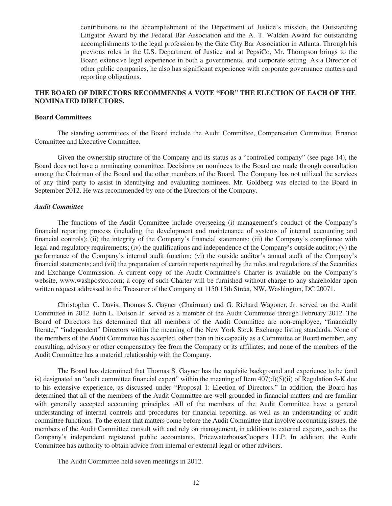contributions to the accomplishment of the Department of Justice's mission, the Outstanding Litigator Award by the Federal Bar Association and the A. T. Walden Award for outstanding accomplishments to the legal profession by the Gate City Bar Association in Atlanta. Through his previous roles in the U.S. Department of Justice and at PepsiCo, Mr. Thompson brings to the Board extensive legal experience in both a governmental and corporate setting. As a Director of other public companies, he also has significant experience with corporate governance matters and reporting obligations.

# **THE BOARD OF DIRECTORS RECOMMENDS A VOTE "FOR" THE ELECTION OF EACH OF THE NOMINATED DIRECTORS.**

## **Board Committees**

The standing committees of the Board include the Audit Committee, Compensation Committee, Finance Committee and Executive Committee.

Given the ownership structure of the Company and its status as a "controlled company" (see page 14), the Board does not have a nominating committee. Decisions on nominees to the Board are made through consultation among the Chairman of the Board and the other members of the Board. The Company has not utilized the services of any third party to assist in identifying and evaluating nominees. Mr. Goldberg was elected to the Board in September 2012. He was recommended by one of the Directors of the Company.

#### *Audit Committee*

The functions of the Audit Committee include overseeing (i) management's conduct of the Company's financial reporting process (including the development and maintenance of systems of internal accounting and financial controls); (ii) the integrity of the Company's financial statements; (iii) the Company's compliance with legal and regulatory requirements; (iv) the qualifications and independence of the Company's outside auditor; (v) the performance of the Company's internal audit function; (vi) the outside auditor's annual audit of the Company's financial statements; and (vii) the preparation of certain reports required by the rules and regulations of the Securities and Exchange Commission. A current copy of the Audit Committee's Charter is available on the Company's website, www.washpostco.com; a copy of such Charter will be furnished without charge to any shareholder upon written request addressed to the Treasurer of the Company at 1150 15th Street, NW, Washington, DC 20071.

Christopher C. Davis, Thomas S. Gayner (Chairman) and G. Richard Wagoner, Jr. served on the Audit Committee in 2012. John L. Dotson Jr. served as a member of the Audit Committee through February 2012. The Board of Directors has determined that all members of the Audit Committee are non-employee, "financially literate," "independent" Directors within the meaning of the New York Stock Exchange listing standards. None of the members of the Audit Committee has accepted, other than in his capacity as a Committee or Board member, any consulting, advisory or other compensatory fee from the Company or its affiliates, and none of the members of the Audit Committee has a material relationship with the Company.

The Board has determined that Thomas S. Gayner has the requisite background and experience to be (and is) designated an "audit committee financial expert" within the meaning of Item  $407(d)(5)(ii)$  of Regulation S-K due to his extensive experience, as discussed under "Proposal 1: Election of Directors." In addition, the Board has determined that all of the members of the Audit Committee are well-grounded in financial matters and are familiar with generally accepted accounting principles. All of the members of the Audit Committee have a general understanding of internal controls and procedures for financial reporting, as well as an understanding of audit committee functions. To the extent that matters come before the Audit Committee that involve accounting issues, the members of the Audit Committee consult with and rely on management, in addition to external experts, such as the Company's independent registered public accountants, PricewaterhouseCoopers LLP. In addition, the Audit Committee has authority to obtain advice from internal or external legal or other advisors.

The Audit Committee held seven meetings in 2012.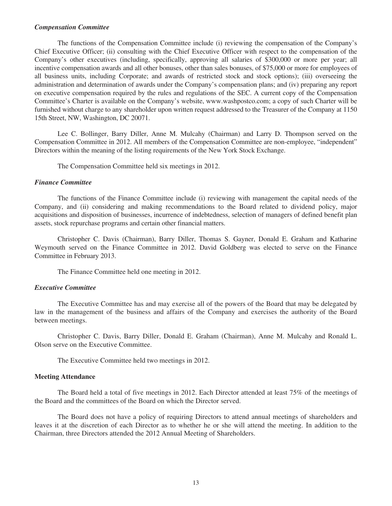#### *Compensation Committee*

The functions of the Compensation Committee include (i) reviewing the compensation of the Company's Chief Executive Officer; (ii) consulting with the Chief Executive Officer with respect to the compensation of the Company's other executives (including, specifically, approving all salaries of \$300,000 or more per year; all incentive compensation awards and all other bonuses, other than sales bonuses, of \$75,000 or more for employees of all business units, including Corporate; and awards of restricted stock and stock options); (iii) overseeing the administration and determination of awards under the Company's compensation plans; and (iv) preparing any report on executive compensation required by the rules and regulations of the SEC. A current copy of the Compensation Committee's Charter is available on the Company's website, www.washpostco.com; a copy of such Charter will be furnished without charge to any shareholder upon written request addressed to the Treasurer of the Company at 1150 15th Street, NW, Washington, DC 20071.

Lee C. Bollinger, Barry Diller, Anne M. Mulcahy (Chairman) and Larry D. Thompson served on the Compensation Committee in 2012. All members of the Compensation Committee are non-employee, "independent" Directors within the meaning of the listing requirements of the New York Stock Exchange.

The Compensation Committee held six meetings in 2012.

#### *Finance Committee*

The functions of the Finance Committee include (i) reviewing with management the capital needs of the Company, and (ii) considering and making recommendations to the Board related to dividend policy, major acquisitions and disposition of businesses, incurrence of indebtedness, selection of managers of defined benefit plan assets, stock repurchase programs and certain other financial matters.

Christopher C. Davis (Chairman), Barry Diller, Thomas S. Gayner, Donald E. Graham and Katharine Weymouth served on the Finance Committee in 2012. David Goldberg was elected to serve on the Finance Committee in February 2013.

The Finance Committee held one meeting in 2012.

#### *Executive Committee*

The Executive Committee has and may exercise all of the powers of the Board that may be delegated by law in the management of the business and affairs of the Company and exercises the authority of the Board between meetings.

Christopher C. Davis, Barry Diller, Donald E. Graham (Chairman), Anne M. Mulcahy and Ronald L. Olson serve on the Executive Committee.

The Executive Committee held two meetings in 2012.

#### **Meeting Attendance**

The Board held a total of five meetings in 2012. Each Director attended at least 75% of the meetings of the Board and the committees of the Board on which the Director served.

The Board does not have a policy of requiring Directors to attend annual meetings of shareholders and leaves it at the discretion of each Director as to whether he or she will attend the meeting. In addition to the Chairman, three Directors attended the 2012 Annual Meeting of Shareholders.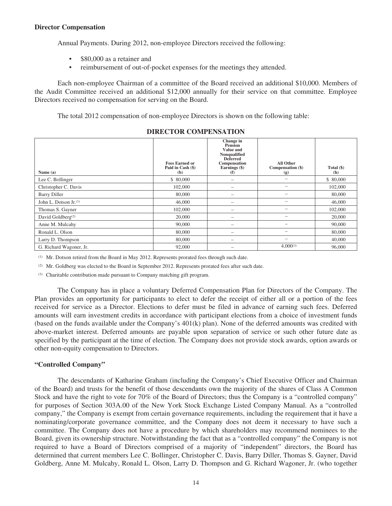## **Director Compensation**

Annual Payments. During 2012, non-employee Directors received the following:

- \$80,000 as a retainer and
- reimbursement of out-of-pocket expenses for the meetings they attended.

Each non-employee Chairman of a committee of the Board received an additional \$10,000. Members of the Audit Committee received an additional \$12,000 annually for their service on that committee. Employee Directors received no compensation for serving on the Board.

The total 2012 compensation of non-employee Directors is shown on the following table:

| Name (a)                      | <b>Fees Earned or</b><br>Paid in Cash (\$)<br>(b) | Change in<br><b>Pension</b><br>Value and<br>Nonqualified<br><b>Deferred</b><br>Compensation<br>Earnings (\$)<br>(f) | <b>All Other</b><br>Compensation (\$)<br>(g) | Total (\$)<br>(h) |
|-------------------------------|---------------------------------------------------|---------------------------------------------------------------------------------------------------------------------|----------------------------------------------|-------------------|
| Lee C. Bollinger              | \$ 80,000                                         |                                                                                                                     | $\qquad \qquad$                              | \$ 80,000         |
| Christopher C. Davis          | 102,000                                           |                                                                                                                     | -                                            | 102,000           |
| <b>Barry Diller</b>           | 80,000                                            |                                                                                                                     |                                              | 80,000            |
| John L. Dotson $Jr^{(1)}$     | 46,000                                            |                                                                                                                     |                                              | 46,000            |
| Thomas S. Gayner              | 102,000                                           |                                                                                                                     |                                              | 102,000           |
| David Goldberg <sup>(2)</sup> | 20,000                                            | -                                                                                                                   | $\overline{\phantom{0}}$                     | 20,000            |
| Anne M. Mulcahy               | 90,000                                            | $\qquad \qquad$                                                                                                     |                                              | 90,000            |
| Ronald L. Olson               | 80,000                                            | -                                                                                                                   | $\overline{\phantom{0}}$                     | 80,000            |
| Larry D. Thompson             | 80,000                                            |                                                                                                                     | $\overline{\phantom{0}}$                     | 40,000            |
| G. Richard Wagoner, Jr.       | 92,000                                            | $\overline{\phantom{a}}$                                                                                            | $4,000^{(3)}$                                | 96,000            |

# **DIRECTOR COMPENSATION**

(1) Mr. Dotson retired from the Board in May 2012. Represents prorated fees through such date.

(2) Mr. Goldberg was elected to the Board in September 2012. Represents prorated fees after such date.

(3) Charitable contribution made pursuant to Company matching gift program.

The Company has in place a voluntary Deferred Compensation Plan for Directors of the Company. The Plan provides an opportunity for participants to elect to defer the receipt of either all or a portion of the fees received for service as a Director. Elections to defer must be filed in advance of earning such fees. Deferred amounts will earn investment credits in accordance with participant elections from a choice of investment funds (based on the funds available under the Company's 401(k) plan). None of the deferred amounts was credited with above-market interest. Deferred amounts are payable upon separation of service or such other future date as specified by the participant at the time of election. The Company does not provide stock awards, option awards or other non-equity compensation to Directors.

# **"Controlled Company"**

The descendants of Katharine Graham (including the Company's Chief Executive Officer and Chairman of the Board) and trusts for the benefit of those descendants own the majority of the shares of Class A Common Stock and have the right to vote for 70% of the Board of Directors; thus the Company is a "controlled company" for purposes of Section 303A.00 of the New York Stock Exchange Listed Company Manual. As a "controlled company," the Company is exempt from certain governance requirements, including the requirement that it have a nominating/corporate governance committee, and the Company does not deem it necessary to have such a committee. The Company does not have a procedure by which shareholders may recommend nominees to the Board, given its ownership structure. Notwithstanding the fact that as a "controlled company" the Company is not required to have a Board of Directors comprised of a majority of "independent" directors, the Board has determined that current members Lee C. Bollinger, Christopher C. Davis, Barry Diller, Thomas S. Gayner, David Goldberg, Anne M. Mulcahy, Ronald L. Olson, Larry D. Thompson and G. Richard Wagoner, Jr. (who together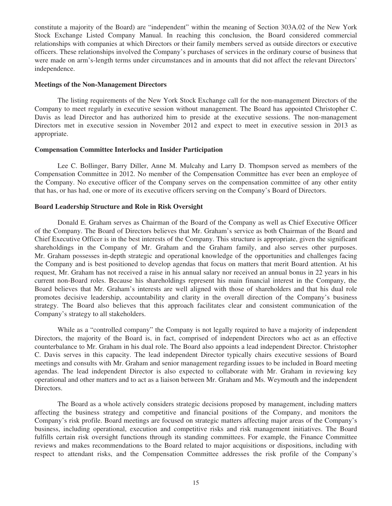constitute a majority of the Board) are "independent" within the meaning of Section 303A.02 of the New York Stock Exchange Listed Company Manual. In reaching this conclusion, the Board considered commercial relationships with companies at which Directors or their family members served as outside directors or executive officers. These relationships involved the Company's purchases of services in the ordinary course of business that were made on arm's-length terms under circumstances and in amounts that did not affect the relevant Directors' independence.

### **Meetings of the Non-Management Directors**

The listing requirements of the New York Stock Exchange call for the non-management Directors of the Company to meet regularly in executive session without management. The Board has appointed Christopher C. Davis as lead Director and has authorized him to preside at the executive sessions. The non-management Directors met in executive session in November 2012 and expect to meet in executive session in 2013 as appropriate.

## **Compensation Committee Interlocks and Insider Participation**

Lee C. Bollinger, Barry Diller, Anne M. Mulcahy and Larry D. Thompson served as members of the Compensation Committee in 2012. No member of the Compensation Committee has ever been an employee of the Company. No executive officer of the Company serves on the compensation committee of any other entity that has, or has had, one or more of its executive officers serving on the Company's Board of Directors.

#### **Board Leadership Structure and Role in Risk Oversight**

Donald E. Graham serves as Chairman of the Board of the Company as well as Chief Executive Officer of the Company. The Board of Directors believes that Mr. Graham's service as both Chairman of the Board and Chief Executive Officer is in the best interests of the Company. This structure is appropriate, given the significant shareholdings in the Company of Mr. Graham and the Graham family, and also serves other purposes. Mr. Graham possesses in-depth strategic and operational knowledge of the opportunities and challenges facing the Company and is best positioned to develop agendas that focus on matters that merit Board attention. At his request, Mr. Graham has not received a raise in his annual salary nor received an annual bonus in 22 years in his current non-Board roles. Because his shareholdings represent his main financial interest in the Company, the Board believes that Mr. Graham's interests are well aligned with those of shareholders and that his dual role promotes decisive leadership, accountability and clarity in the overall direction of the Company's business strategy. The Board also believes that this approach facilitates clear and consistent communication of the Company's strategy to all stakeholders.

While as a "controlled company" the Company is not legally required to have a majority of independent Directors, the majority of the Board is, in fact, comprised of independent Directors who act as an effective counterbalance to Mr. Graham in his dual role. The Board also appoints a lead independent Director. Christopher C. Davis serves in this capacity. The lead independent Director typically chairs executive sessions of Board meetings and consults with Mr. Graham and senior management regarding issues to be included in Board meeting agendas. The lead independent Director is also expected to collaborate with Mr. Graham in reviewing key operational and other matters and to act as a liaison between Mr. Graham and Ms. Weymouth and the independent Directors.

The Board as a whole actively considers strategic decisions proposed by management, including matters affecting the business strategy and competitive and financial positions of the Company, and monitors the Company's risk profile. Board meetings are focused on strategic matters affecting major areas of the Company's business, including operational, execution and competitive risks and risk management initiatives. The Board fulfills certain risk oversight functions through its standing committees. For example, the Finance Committee reviews and makes recommendations to the Board related to major acquisitions or dispositions, including with respect to attendant risks, and the Compensation Committee addresses the risk profile of the Company's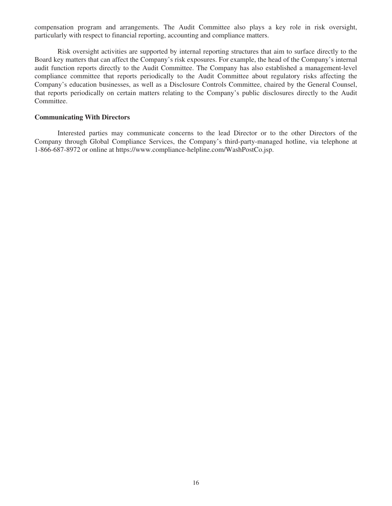compensation program and arrangements. The Audit Committee also plays a key role in risk oversight, particularly with respect to financial reporting, accounting and compliance matters.

Risk oversight activities are supported by internal reporting structures that aim to surface directly to the Board key matters that can affect the Company's risk exposures. For example, the head of the Company's internal audit function reports directly to the Audit Committee. The Company has also established a management-level compliance committee that reports periodically to the Audit Committee about regulatory risks affecting the Company's education businesses, as well as a Disclosure Controls Committee, chaired by the General Counsel, that reports periodically on certain matters relating to the Company's public disclosures directly to the Audit Committee.

## **Communicating With Directors**

Interested parties may communicate concerns to the lead Director or to the other Directors of the Company through Global Compliance Services, the Company's third-party-managed hotline, via telephone at 1-866-687-8972 or online at https://www.compliance-helpline.com/WashPostCo.jsp.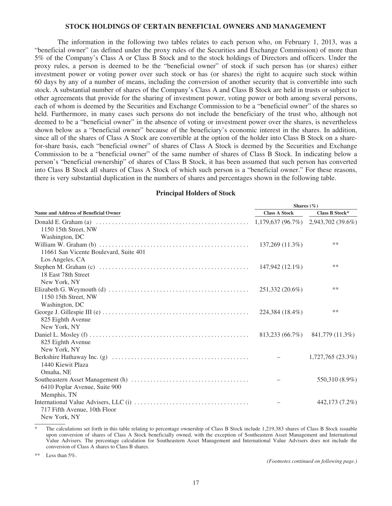#### **STOCK HOLDINGS OF CERTAIN BENEFICIAL OWNERS AND MANAGEMENT**

The information in the following two tables relates to each person who, on February 1, 2013, was a "beneficial owner" (as defined under the proxy rules of the Securities and Exchange Commission) of more than 5% of the Company's Class A or Class B Stock and to the stock holdings of Directors and officers. Under the proxy rules, a person is deemed to be the "beneficial owner" of stock if such person has (or shares) either investment power or voting power over such stock or has (or shares) the right to acquire such stock within 60 days by any of a number of means, including the conversion of another security that is convertible into such stock. A substantial number of shares of the Company's Class A and Class B Stock are held in trusts or subject to other agreements that provide for the sharing of investment power, voting power or both among several persons, each of whom is deemed by the Securities and Exchange Commission to be a "beneficial owner" of the shares so held. Furthermore, in many cases such persons do not include the beneficiary of the trust who, although not deemed to be a "beneficial owner" in the absence of voting or investment power over the shares, is nevertheless shown below as a "beneficial owner" because of the beneficiary's economic interest in the shares. In addition, since all of the shares of Class A Stock are convertible at the option of the holder into Class B Stock on a sharefor-share basis, each "beneficial owner" of shares of Class A Stock is deemed by the Securities and Exchange Commission to be a "beneficial owner" of the same number of shares of Class B Stock. In indicating below a person's "beneficial ownership" of shares of Class B Stock, it has been assumed that such person has converted into Class B Stock all shares of Class A Stock of which such person is a "beneficial owner." For these reasons, there is very substantial duplication in the numbers of shares and percentages shown in the following table.

## **Principal Holders of Stock**

|                                             | Shares $(\%)$        |                  |  |  |
|---------------------------------------------|----------------------|------------------|--|--|
| <b>Name and Address of Beneficial Owner</b> | <b>Class A Stock</b> | Class B Stock*   |  |  |
|                                             |                      |                  |  |  |
| 1150 15th Street, NW                        |                      |                  |  |  |
| Washington, DC                              |                      |                  |  |  |
|                                             | 137,269 (11.3%)      | $**$             |  |  |
| 11661 San Vicente Boulevard, Suite 401      |                      |                  |  |  |
| Los Angeles, CA                             |                      |                  |  |  |
|                                             | 147,942 (12.1%)      | $***$            |  |  |
| 18 East 78th Street                         |                      |                  |  |  |
| New York, NY                                |                      |                  |  |  |
|                                             | 251,332 (20.6%)      | **               |  |  |
| 1150 15th Street, NW                        |                      |                  |  |  |
| Washington, DC                              |                      |                  |  |  |
|                                             | 224,384 (18.4%)      | **               |  |  |
| 825 Eighth Avenue                           |                      |                  |  |  |
| New York, NY                                |                      |                  |  |  |
|                                             | 813,233 (66.7%)      | 841,779 (11.3%)  |  |  |
| 825 Eighth Avenue                           |                      |                  |  |  |
| New York, NY                                |                      |                  |  |  |
|                                             |                      | 1,727,765(23.3%) |  |  |
| 1440 Kiewit Plaza                           |                      |                  |  |  |
| Omaha, NE                                   |                      |                  |  |  |
|                                             |                      | 550,310 (8.9%)   |  |  |
| 6410 Poplar Avenue, Suite 900               |                      |                  |  |  |
| Memphis, TN                                 |                      |                  |  |  |
|                                             |                      | 442,173 (7.2%)   |  |  |
| 717 Fifth Avenue, 10th Floor                |                      |                  |  |  |
| New York, NY                                |                      |                  |  |  |

The calculations set forth in this table relating to percentage ownership of Class B Stock include 1,219,383 shares of Class B Stock issuable upon conversion of shares of Class A Stock beneficially owned, with the exception of Southeastern Asset Management and International Value Advisers. The percentage calculation for Southeastern Asset Management and International Value Advisers does not include the conversion of Class A shares to Class B shares.

\*\* Less than  $5\%$ .

*(Footnotes continued on following page.)*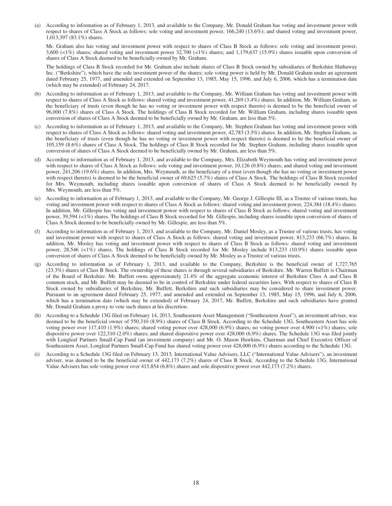(a) According to information as of February 1, 2013, and available to the Company, Mr. Donald Graham has voting and investment power with respect to shares of Class A Stock as follows: sole voting and investment power, 166,240 (13.6%); and shared voting and investment power, 1,013,397 (83.1%) shares.

Mr. Graham also has voting and investment power with respect to shares of Class B Stock as follows: sole voting and investment power, 3,600 (<1%) shares; shared voting and investment power 32,700 (<1%) shares; and 1,179,637 (15.9%) shares issuable upon conversion of shares of Class A Stock deemed to be beneficially owned by Mr. Graham.

The holdings of Class B Stock recorded for Mr. Graham also include shares of Class B Stock owned by subsidiaries of Berkshire Hathaway Inc. ("Berkshire"), which have the sole investment power of the shares; sole voting power is held by Mr. Donald Graham under an agreement dated February 25, 1977, and amended and extended on September 13, 1985, May 15, 1996, and July 6, 2006, which has a termination date (which may be extended) of February 24, 2017.

- (b) According to information as of February 1, 2013, and available to the Company, Mr. William Graham has voting and investment power with respect to shares of Class A Stock as follows: shared voting and investment power, 41,269 (3.4%) shares. In addition, Mr. William Graham, as the beneficiary of trusts (even though he has no voting or investment power with respect thereto) is deemed to be the beneficial owner of 96,000 (7.8%) shares of Class A Stock. The holdings of Class B Stock recorded for Mr. William Graham, including shares issuable upon conversion of shares of Class A Stock deemed to be beneficially owned by Mr. Graham, are less than 5%.
- (c) According to information as of February 1, 2013, and available to the Company, Mr. Stephen Graham has voting and investment power with respect to shares of Class A Stock as follows: shared voting and investment power, 42,783 (3.5%) shares. In addition, Mr. Stephen Graham, as the beneficiary of trusts (even though he has no voting or investment power with respect thereto) is deemed to be the beneficial owner of 105,159 (8.6%) shares of Class A Stock. The holdings of Class B Stock recorded for Mr. Stephen Graham, including shares issuable upon conversion of shares of Class A Stock deemed to be beneficially owned by Mr. Graham, are less than 5%.
- (d) According to information as of February 1, 2013, and available to the Company, Mrs. Elizabeth Weymouth has voting and investment power with respect to shares of Class A Stock as follows: sole voting and investment power, 10,126 (0.8%) shares; and shared voting and investment power, 241,206 (19.6%) shares. In addition, Mrs. Weymouth, as the beneficiary of a trust (even though she has no voting or investment power with respect thereto) is deemed to be the beneficial owner of 69,625 (5.7%) shares of Class A Stock. The holdings of Class B Stock recorded for Mrs. Weymouth, including shares issuable upon conversion of shares of Class A Stock deemed to be beneficially owned by Mrs. Weymouth, are less than 5%.
- (e) According to information as of February 1, 2013, and available to the Company, Mr. George J. Gillespie III, as a Trustee of various trusts, has voting and investment power with respect to shares of Class A Stock as follows: shared voting and investment power, 224,384 (18.4%) shares. In addition, Mr. Gillespie has voting and investment power with respect to shares of Class B Stock as follows: shared voting and investment power, 39,594 (<1%) shares. The holdings of Class B Stock recorded for Mr. Gillespie, including shares issuable upon conversion of shares of Class A Stock deemed to be beneficially owned by Mr. Gillespie, are less than 5%.
- (f) According to information as of February 1, 2013, and available to the Company, Mr. Daniel Mosley, as a Trustee of various trusts, has voting and investment power with respect to shares of Class A Stock as follows: shared voting and investment power, 813,233 (66.7%) shares. In addition, Mr. Mosley has voting and investment power with respect to shares of Class B Stock as follows: shared voting and investment power, 28,546 (<1%) shares. The holdings of Class B Stock recorded for Mr. Mosley include 813,233 (10.9%) shares issuable upon conversion of shares of Class A Stock deemed to be beneficially owned by Mr. Mosley as a Trustee of various trusts.
- (g) According to information as of February 1, 2013, and available to the Company, Berkshire is the beneficial owner of 1,727,765 (23.3%) shares of Class B Stock. The ownership of these shares is through several subsidiaries of Berkshire. Mr. Warren Buffett is Chairman of the Board of Berkshire. Mr. Buffett owns approximately 21.4% of the aggregate economic interest of Berkshire Class A and Class B common stock, and Mr. Buffett may be deemed to be in control of Berkshire under federal securities laws. With respect to shares of Class B Stock owned by subsidiaries of Berkshire, Mr. Buffett, Berkshire and such subsidiaries may be considered to share investment power. Pursuant to an agreement dated February 25, 1977, and amended and extended on September 13, 1985, May 15, 1996, and July 6, 2006, which has a termination date (which may be extended) of February 24, 2017, Mr. Buffett, Berkshire and such subsidiaries have granted Mr. Donald Graham a proxy to vote such shares at his discretion.
- (h) According to a Schedule 13G filed on February 14, 2013, Southeastern Asset Management ("Southeastern Asset"), an investment adviser, was deemed to be the beneficial owner of 550,310 (8.9%) shares of Class B Stock. According to the Schedule 13G, Southeastern Asset has sole voting power over 117,410 (1.9%) shares; shared voting power over 428,000 (6.9%) shares; no voting power over 4,900 (<1%) shares; sole dispositive power over 122,310 (2.0%) shares; and shared dispositive power over 428,000 (6.9%) shares. The Schedule 13G was filed jointly with Longleaf Partners Small-Cap Fund (an investment company) and Mr. O. Mason Hawkins, Chairman and Chief Executive Officer of Southeastern Asset, Longleaf Partners Small-Cap Fund has shared voting power over 428,000 (6.9%) shares according to the Schedule 13G.
- (i) According to a Schedule 13G filed on February 13, 2013, International Value Advisers, LLC ("International Value Advisers"), an investment adviser, was deemed to be the beneficial owner of 442,173 (7.2%) shares of Class B Stock. According to the Schedule 13G, International Value Advisers has sole voting power over 415,854 (6.8%) shares and sole dispositive power over 442,173 (7.2%) shares.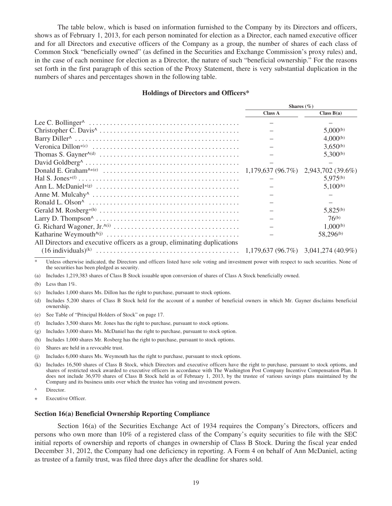The table below, which is based on information furnished to the Company by its Directors and officers, shows as of February 1, 2013, for each person nominated for election as a Director, each named executive officer and for all Directors and executive officers of the Company as a group, the number of shares of each class of Common Stock "beneficially owned" (as defined in the Securities and Exchange Commission's proxy rules) and, in the case of each nominee for election as a Director, the nature of such "beneficial ownership." For the reasons set forth in the first paragraph of this section of the Proxy Statement, there is very substantial duplication in the numbers of shares and percentages shown in the following table.

### **Holdings of Directors and Officers\***

|                                                                                                        | Shares $(\% )$ |                                      |  |
|--------------------------------------------------------------------------------------------------------|----------------|--------------------------------------|--|
|                                                                                                        | Class A        | Class $B(a)$                         |  |
| Lee C. Bollinger $\land \dots \dots \dots \dots \dots \dots \dots \dots \dots \dots \dots \dots \dots$ |                |                                      |  |
|                                                                                                        |                | $5,000^{(b)}$                        |  |
|                                                                                                        |                | $4,000^{(b)}$                        |  |
|                                                                                                        |                | $3,650^{(b)}$                        |  |
|                                                                                                        |                | $5,300^{(b)}$                        |  |
|                                                                                                        |                |                                      |  |
|                                                                                                        |                |                                      |  |
|                                                                                                        |                | $5,975^{(b)}$                        |  |
|                                                                                                        |                | $5,100^{(b)}$                        |  |
|                                                                                                        |                |                                      |  |
|                                                                                                        |                |                                      |  |
|                                                                                                        |                | 5,825 <sup>(b)</sup>                 |  |
|                                                                                                        |                | $76^{(b)}$                           |  |
|                                                                                                        |                | $1,000^{(b)}$                        |  |
|                                                                                                        |                | 58,296 <sup>(b)</sup>                |  |
| All Directors and executive officers as a group, eliminating duplications                              |                |                                      |  |
| (16.11.11.11.11.11.1)                                                                                  |                | 1.170.627.06.70 \ 2.041.274.640.00 \ |  |

(16 individuals)(k) ......................................... 1,179,637 (96.7%) 3,041,274 (40.9%)

Unless otherwise indicated, the Directors and officers listed have sole voting and investment power with respect to such securities. None of the securities has been pledged as security.

(a) Includes 1,219,383 shares of Class B Stock issuable upon conversion of shares of Class A Stock beneficially owned.

(b) Less than  $1\%$ .

(c) Includes 1,000 shares Ms. Dillon has the right to purchase, pursuant to stock options.

(d) Includes 5,200 shares of Class B Stock held for the account of a number of beneficial owners in which Mr. Gayner disclaims beneficial ownership.

- (e) See Table of "Principal Holders of Stock" on page 17.
- (f) Includes 3,500 shares Mr. Jones has the right to purchase, pursuant to stock options.
- (g) Includes 3,000 shares Ms. McDaniel has the right to purchase, pursuant to stock option.
- (h) Includes 1,000 shares Mr. Rosberg has the right to purchase, pursuant to stock options.
- (i) Shares are held in a revocable trust.
- (j) Includes 6,000 shares Ms. Weymouth has the right to purchase, pursuant to stock options.
- (k) Includes 16,500 shares of Class B Stock, which Directors and executive officers have the right to purchase, pursuant to stock options, and shares of restricted stock awarded to executive officers in accordance with The Washington Post Company Incentive Compensation Plan. It does not include 36,970 shares of Class B Stock held as of February 1, 2013, by the trustee of various savings plans maintained by the Company and its business units over which the trustee has voting and investment powers.
- Director.
- Executive Officer.

#### **Section 16(a) Beneficial Ownership Reporting Compliance**

Section 16(a) of the Securities Exchange Act of 1934 requires the Company's Directors, officers and persons who own more than 10% of a registered class of the Company's equity securities to file with the SEC initial reports of ownership and reports of changes in ownership of Class B Stock. During the fiscal year ended December 31, 2012, the Company had one deficiency in reporting. A Form 4 on behalf of Ann McDaniel, acting as trustee of a family trust, was filed three days after the deadline for shares sold.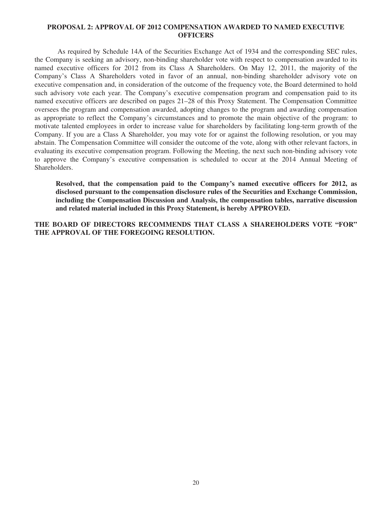# **PROPOSAL 2: APPROVAL OF 2012 COMPENSATION AWARDED TO NAMED EXECUTIVE OFFICERS**

As required by Schedule 14A of the Securities Exchange Act of 1934 and the corresponding SEC rules, the Company is seeking an advisory, non-binding shareholder vote with respect to compensation awarded to its named executive officers for 2012 from its Class A Shareholders. On May 12, 2011, the majority of the Company's Class A Shareholders voted in favor of an annual, non-binding shareholder advisory vote on executive compensation and, in consideration of the outcome of the frequency vote, the Board determined to hold such advisory vote each year. The Company's executive compensation program and compensation paid to its named executive officers are described on pages 21–28 of this Proxy Statement. The Compensation Committee oversees the program and compensation awarded, adopting changes to the program and awarding compensation as appropriate to reflect the Company's circumstances and to promote the main objective of the program: to motivate talented employees in order to increase value for shareholders by facilitating long-term growth of the Company. If you are a Class A Shareholder, you may vote for or against the following resolution, or you may abstain. The Compensation Committee will consider the outcome of the vote, along with other relevant factors, in evaluating its executive compensation program. Following the Meeting, the next such non-binding advisory vote to approve the Company's executive compensation is scheduled to occur at the 2014 Annual Meeting of Shareholders.

**Resolved, that the compensation paid to the Company's named executive officers for 2012, as disclosed pursuant to the compensation disclosure rules of the Securities and Exchange Commission, including the Compensation Discussion and Analysis, the compensation tables, narrative discussion and related material included in this Proxy Statement, is hereby APPROVED.**

**THE BOARD OF DIRECTORS RECOMMENDS THAT CLASS A SHAREHOLDERS VOTE "FOR" THE APPROVAL OF THE FOREGOING RESOLUTION.**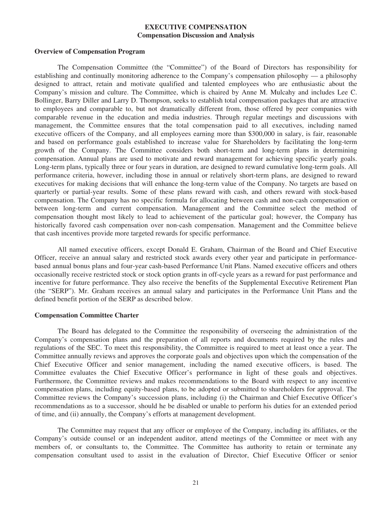# **EXECUTIVE COMPENSATION Compensation Discussion and Analysis**

#### **Overview of Compensation Program**

The Compensation Committee (the "Committee") of the Board of Directors has responsibility for establishing and continually monitoring adherence to the Company's compensation philosophy — a philosophy designed to attract, retain and motivate qualified and talented employees who are enthusiastic about the Company's mission and culture. The Committee, which is chaired by Anne M. Mulcahy and includes Lee C. Bollinger, Barry Diller and Larry D. Thompson, seeks to establish total compensation packages that are attractive to employees and comparable to, but not dramatically different from, those offered by peer companies with comparable revenue in the education and media industries. Through regular meetings and discussions with management, the Committee ensures that the total compensation paid to all executives, including named executive officers of the Company, and all employees earning more than \$300,000 in salary, is fair, reasonable and based on performance goals established to increase value for Shareholders by facilitating the long-term growth of the Company. The Committee considers both short-term and long-term plans in determining compensation. Annual plans are used to motivate and reward management for achieving specific yearly goals. Long-term plans, typically three or four years in duration, are designed to reward cumulative long-term goals. All performance criteria, however, including those in annual or relatively short-term plans, are designed to reward executives for making decisions that will enhance the long-term value of the Company. No targets are based on quarterly or partial-year results. Some of these plans reward with cash, and others reward with stock-based compensation. The Company has no specific formula for allocating between cash and non-cash compensation or between long-term and current compensation. Management and the Committee select the method of compensation thought most likely to lead to achievement of the particular goal; however, the Company has historically favored cash compensation over non-cash compensation. Management and the Committee believe that cash incentives provide more targeted rewards for specific performance.

All named executive officers, except Donald E. Graham, Chairman of the Board and Chief Executive Officer, receive an annual salary and restricted stock awards every other year and participate in performancebased annual bonus plans and four-year cash-based Performance Unit Plans. Named executive officers and others occasionally receive restricted stock or stock option grants in off-cycle years as a reward for past performance and incentive for future performance. They also receive the benefits of the Supplemental Executive Retirement Plan (the "SERP"). Mr. Graham receives an annual salary and participates in the Performance Unit Plans and the defined benefit portion of the SERP as described below.

#### **Compensation Committee Charter**

The Board has delegated to the Committee the responsibility of overseeing the administration of the Company's compensation plans and the preparation of all reports and documents required by the rules and regulations of the SEC. To meet this responsibility, the Committee is required to meet at least once a year. The Committee annually reviews and approves the corporate goals and objectives upon which the compensation of the Chief Executive Officer and senior management, including the named executive officers, is based. The Committee evaluates the Chief Executive Officer's performance in light of these goals and objectives. Furthermore, the Committee reviews and makes recommendations to the Board with respect to any incentive compensation plans, including equity-based plans, to be adopted or submitted to shareholders for approval. The Committee reviews the Company's succession plans, including (i) the Chairman and Chief Executive Officer's recommendations as to a successor, should he be disabled or unable to perform his duties for an extended period of time, and (ii) annually, the Company's efforts at management development.

The Committee may request that any officer or employee of the Company, including its affiliates, or the Company's outside counsel or an independent auditor, attend meetings of the Committee or meet with any members of, or consultants to, the Committee. The Committee has authority to retain or terminate any compensation consultant used to assist in the evaluation of Director, Chief Executive Officer or senior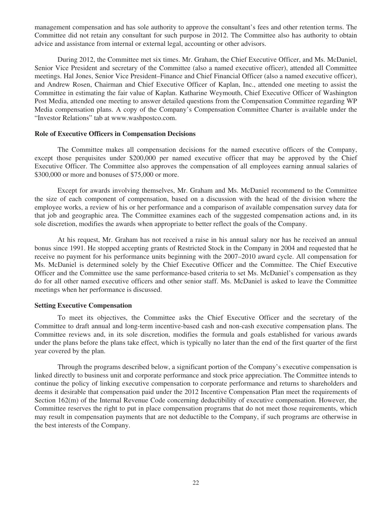management compensation and has sole authority to approve the consultant's fees and other retention terms. The Committee did not retain any consultant for such purpose in 2012. The Committee also has authority to obtain advice and assistance from internal or external legal, accounting or other advisors.

During 2012, the Committee met six times. Mr. Graham, the Chief Executive Officer, and Ms. McDaniel, Senior Vice President and secretary of the Committee (also a named executive officer), attended all Committee meetings. Hal Jones, Senior Vice President–Finance and Chief Financial Officer (also a named executive officer), and Andrew Rosen, Chairman and Chief Executive Officer of Kaplan, Inc., attended one meeting to assist the Committee in estimating the fair value of Kaplan. Katharine Weymouth, Chief Executive Officer of Washington Post Media, attended one meeting to answer detailed questions from the Compensation Committee regarding WP Media compensation plans. A copy of the Company's Compensation Committee Charter is available under the "Investor Relations" tab at www.washpostco.com.

## **Role of Executive Officers in Compensation Decisions**

The Committee makes all compensation decisions for the named executive officers of the Company, except those perquisites under \$200,000 per named executive officer that may be approved by the Chief Executive Officer. The Committee also approves the compensation of all employees earning annual salaries of \$300,000 or more and bonuses of \$75,000 or more.

Except for awards involving themselves, Mr. Graham and Ms. McDaniel recommend to the Committee the size of each component of compensation, based on a discussion with the head of the division where the employee works, a review of his or her performance and a comparison of available compensation survey data for that job and geographic area. The Committee examines each of the suggested compensation actions and, in its sole discretion, modifies the awards when appropriate to better reflect the goals of the Company.

At his request, Mr. Graham has not received a raise in his annual salary nor has he received an annual bonus since 1991. He stopped accepting grants of Restricted Stock in the Company in 2004 and requested that he receive no payment for his performance units beginning with the 2007–2010 award cycle. All compensation for Ms. McDaniel is determined solely by the Chief Executive Officer and the Committee. The Chief Executive Officer and the Committee use the same performance-based criteria to set Ms. McDaniel's compensation as they do for all other named executive officers and other senior staff. Ms. McDaniel is asked to leave the Committee meetings when her performance is discussed.

# **Setting Executive Compensation**

To meet its objectives, the Committee asks the Chief Executive Officer and the secretary of the Committee to draft annual and long-term incentive-based cash and non-cash executive compensation plans. The Committee reviews and, in its sole discretion, modifies the formula and goals established for various awards under the plans before the plans take effect, which is typically no later than the end of the first quarter of the first year covered by the plan.

Through the programs described below, a significant portion of the Company's executive compensation is linked directly to business unit and corporate performance and stock price appreciation. The Committee intends to continue the policy of linking executive compensation to corporate performance and returns to shareholders and deems it desirable that compensation paid under the 2012 Incentive Compensation Plan meet the requirements of Section 162(m) of the Internal Revenue Code concerning deductibility of executive compensation. However, the Committee reserves the right to put in place compensation programs that do not meet those requirements, which may result in compensation payments that are not deductible to the Company, if such programs are otherwise in the best interests of the Company.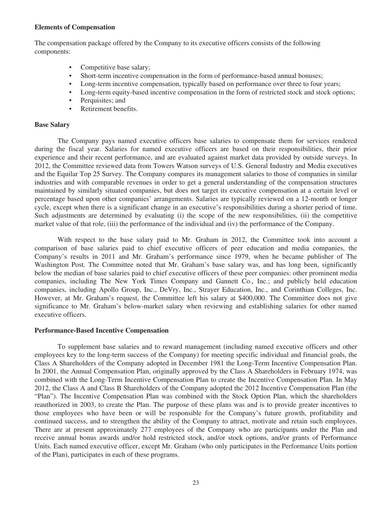## **Elements of Compensation**

The compensation package offered by the Company to its executive officers consists of the following components:

- Competitive base salary;
- Short-term incentive compensation in the form of performance-based annual bonuses;
- Long-term incentive compensation, typically based on performance over three to four years;
- Long-term equity-based incentive compensation in the form of restricted stock and stock options;
- Perquisites; and
- Retirement benefits.

## **Base Salary**

The Company pays named executive officers base salaries to compensate them for services rendered during the fiscal year. Salaries for named executive officers are based on their responsibilities, their prior experience and their recent performance, and are evaluated against market data provided by outside surveys. In 2012, the Committee reviewed data from Towers Watson surveys of U.S. General Industry and Media executives and the Equilar Top 25 Survey. The Company compares its management salaries to those of companies in similar industries and with comparable revenues in order to get a general understanding of the compensation structures maintained by similarly situated companies, but does not target its executive compensation at a certain level or percentage based upon other companies' arrangements. Salaries are typically reviewed on a 12-month or longer cycle, except when there is a significant change in an executive's responsibilities during a shorter period of time. Such adjustments are determined by evaluating (i) the scope of the new responsibilities, (ii) the competitive market value of that role, (iii) the performance of the individual and (iv) the performance of the Company.

With respect to the base salary paid to Mr. Graham in 2012, the Committee took into account a comparison of base salaries paid to chief executive officers of peer education and media companies, the Company's results in 2011 and Mr. Graham's performance since 1979, when he became publisher of The Washington Post. The Committee noted that Mr. Graham's base salary was, and has long been, significantly below the median of base salaries paid to chief executive officers of these peer companies: other prominent media companies, including The New York Times Company and Gannett Co., Inc.; and publicly held education companies, including Apollo Group, Inc., DeVry, Inc., Strayer Education, Inc., and Corinthian Colleges, Inc. However, at Mr. Graham's request, the Committee left his salary at \$400,000. The Committee does not give significance to Mr. Graham's below-market salary when reviewing and establishing salaries for other named executive officers.

## **Performance-Based Incentive Compensation**

To supplement base salaries and to reward management (including named executive officers and other employees key to the long-term success of the Company) for meeting specific individual and financial goals, the Class A Shareholders of the Company adopted in December 1981 the Long-Term Incentive Compensation Plan. In 2001, the Annual Compensation Plan, originally approved by the Class A Shareholders in February 1974, was combined with the Long-Term Incentive Compensation Plan to create the Incentive Compensation Plan. In May 2012, the Class A and Class B Shareholders of the Company adopted the 2012 Incentive Compensation Plan (the "Plan"). The Incentive Compensation Plan was combined with the Stock Option Plan, which the shareholders reauthorized in 2003, to create the Plan. The purpose of these plans was and is to provide greater incentives to those employees who have been or will be responsible for the Company's future growth, profitability and continued success, and to strengthen the ability of the Company to attract, motivate and retain such employees. There are at present approximately 277 employees of the Company who are participants under the Plan and receive annual bonus awards and/or hold restricted stock, and/or stock options, and/or grants of Performance Units. Each named executive officer, except Mr. Graham (who only participates in the Performance Units portion of the Plan), participates in each of these programs.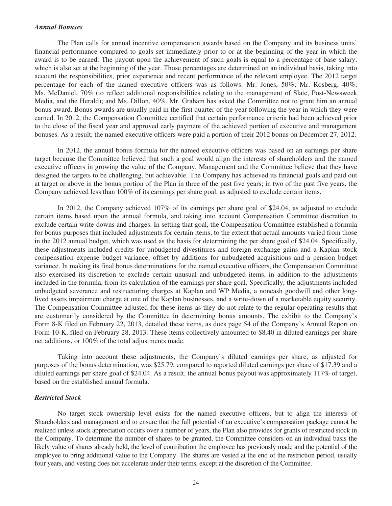#### *Annual Bonuses*

The Plan calls for annual incentive compensation awards based on the Company and its business units' financial performance compared to goals set immediately prior to or at the beginning of the year in which the award is to be earned. The payout upon the achievement of such goals is equal to a percentage of base salary, which is also set at the beginning of the year. Those percentages are determined on an individual basis, taking into account the responsibilities, prior experience and recent performance of the relevant employee. The 2012 target percentage for each of the named executive officers was as follows: Mr. Jones, 50%; Mr. Rosberg, 40%; Ms. McDaniel, 70% (to reflect additional responsibilities relating to the management of Slate, Post-Newsweek Media, and the Herald); and Ms. Dillon, 40%. Mr. Graham has asked the Committee not to grant him an annual bonus award. Bonus awards are usually paid in the first quarter of the year following the year in which they were earned. In 2012, the Compensation Committee certified that certain performance criteria had been achieved prior to the close of the fiscal year and approved early payment of the achieved portion of executive and management bonuses. As a result, the named executive officers were paid a portion of their 2012 bonus on December 27, 2012.

In 2012, the annual bonus formula for the named executive officers was based on an earnings per share target because the Committee believed that such a goal would align the interests of shareholders and the named executive officers in growing the value of the Company. Management and the Committee believe that they have designed the targets to be challenging, but achievable. The Company has achieved its financial goals and paid out at target or above in the bonus portion of the Plan in three of the past five years; in two of the past five years, the Company achieved less than 100% of its earnings per share goal, as adjusted to exclude certain items.

In 2012, the Company achieved 107% of its earnings per share goal of \$24.04, as adjusted to exclude certain items based upon the annual formula, and taking into account Compensation Committee discretion to exclude certain write-downs and charges. In setting that goal, the Compensation Committee established a formula for bonus purposes that included adjustments for certain items, to the extent that actual amounts varied from those in the 2012 annual budget, which was used as the basis for determining the per share goal of \$24.04. Specifically, these adjustments included credits for unbudgeted divestitures and foreign exchange gains and a Kaplan stock compensation expense budget variance, offset by additions for unbudgeted acquisitions and a pension budget variance. In making its final bonus determinations for the named executive officers, the Compensation Committee also exercised its discretion to exclude certain unusual and unbudgeted items, in addition to the adjustments included in the formula, from its calculation of the earnings per share goal. Specifically, the adjustments included unbudgeted severance and restructuring charges at Kaplan and WP Media, a noncash goodwill and other longlived assets impairment charge at one of the Kaplan businesses, and a write-down of a marketable equity security. The Compensation Committee adjusted for these items as they do not relate to the regular operating results that are customarily considered by the Committee in determining bonus amounts. The exhibit to the Company's Form 8-K filed on February 22, 2013, detailed these items, as does page 54 of the Company's Annual Report on Form 10-K, filed on February 28, 2013. These items collectively amounted to \$8.40 in diluted earnings per share net additions, or 100% of the total adjustments made.

Taking into account these adjustments, the Company's diluted earnings per share, as adjusted for purposes of the bonus determination, was \$25.79, compared to reported diluted earnings per share of \$17.39 and a diluted earnings per share goal of \$24.04. As a result, the annual bonus payout was approximately 117% of target, based on the established annual formula.

## *Restricted Stock*

No target stock ownership level exists for the named executive officers, but to align the interests of Shareholders and management and to ensure that the full potential of an executive's compensation package cannot be realized unless stock appreciation occurs over a number of years, the Plan also provides for grants of restricted stock in the Company. To determine the number of shares to be granted, the Committee considers on an individual basis the likely value of shares already held, the level of contribution the employee has previously made and the potential of the employee to bring additional value to the Company. The shares are vested at the end of the restriction period, usually four years, and vesting does not accelerate under their terms, except at the discretion of the Committee.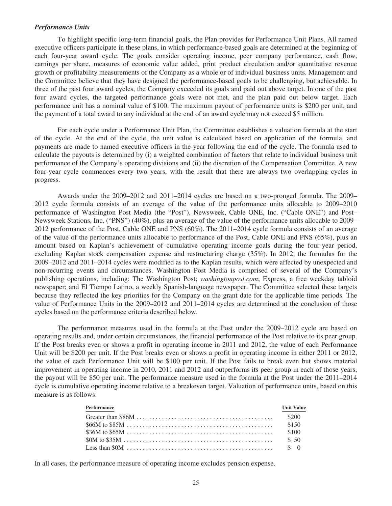### *Performance Units*

To highlight specific long-term financial goals, the Plan provides for Performance Unit Plans. All named executive officers participate in these plans, in which performance-based goals are determined at the beginning of each four-year award cycle. The goals consider operating income, peer company performance, cash flow, earnings per share, measures of economic value added, print product circulation and/or quantitative revenue growth or profitability measurements of the Company as a whole or of individual business units. Management and the Committee believe that they have designed the performance-based goals to be challenging, but achievable. In three of the past four award cycles, the Company exceeded its goals and paid out above target. In one of the past four award cycles, the targeted performance goals were not met, and the plan paid out below target. Each performance unit has a nominal value of \$100. The maximum payout of performance units is \$200 per unit, and the payment of a total award to any individual at the end of an award cycle may not exceed \$5 million.

For each cycle under a Performance Unit Plan, the Committee establishes a valuation formula at the start of the cycle. At the end of the cycle, the unit value is calculated based on application of the formula, and payments are made to named executive officers in the year following the end of the cycle. The formula used to calculate the payouts is determined by (i) a weighted combination of factors that relate to individual business unit performance of the Company's operating divisions and (ii) the discretion of the Compensation Committee. A new four-year cycle commences every two years, with the result that there are always two overlapping cycles in progress.

Awards under the 2009–2012 and 2011–2014 cycles are based on a two-pronged formula. The 2009– 2012 cycle formula consists of an average of the value of the performance units allocable to 2009–2010 performance of Washington Post Media (the "Post"), Newsweek, Cable ONE, Inc. ("Cable ONE") and Post– Newsweek Stations, Inc. ("PNS") (40%), plus an average of the value of the performance units allocable to 2009– 2012 performance of the Post, Cable ONE and PNS (60%). The 2011–2014 cycle formula consists of an average of the value of the performance units allocable to performance of the Post, Cable ONE and PNS (65%), plus an amount based on Kaplan's achievement of cumulative operating income goals during the four-year period, excluding Kaplan stock compensation expense and restructuring charge (35%). In 2012, the formulas for the 2009–2012 and 2011–2014 cycles were modified as to the Kaplan results, which were affected by unexpected and non-recurring events and circumstances. Washington Post Media is comprised of several of the Company's publishing operations, including: The Washington Post; *washingtonpost.com*; Express, a free weekday tabloid newspaper; and El Tiempo Latino, a weekly Spanish-language newspaper. The Committee selected these targets because they reflected the key priorities for the Company on the grant date for the applicable time periods. The value of Performance Units in the 2009–2012 and 2011–2014 cycles are determined at the conclusion of those cycles based on the performance criteria described below.

The performance measures used in the formula at the Post under the 2009–2012 cycle are based on operating results and, under certain circumstances, the financial performance of the Post relative to its peer group. If the Post breaks even or shows a profit in operating income in 2011 and 2012, the value of each Performance Unit will be \$200 per unit. If the Post breaks even or shows a profit in operating income in either 2011 or 2012, the value of each Performance Unit will be \$100 per unit. If the Post fails to break even but shows material improvement in operating income in 2010, 2011 and 2012 and outperforms its peer group in each of those years, the payout will be \$50 per unit. The performance measure used in the formula at the Post under the 2011–2014 cycle is cumulative operating income relative to a breakeven target. Valuation of performance units, based on this measure is as follows:

| Performance | <b>Unit Value</b> |
|-------------|-------------------|
|             |                   |
|             |                   |
|             |                   |
|             |                   |
|             |                   |

In all cases, the performance measure of operating income excludes pension expense.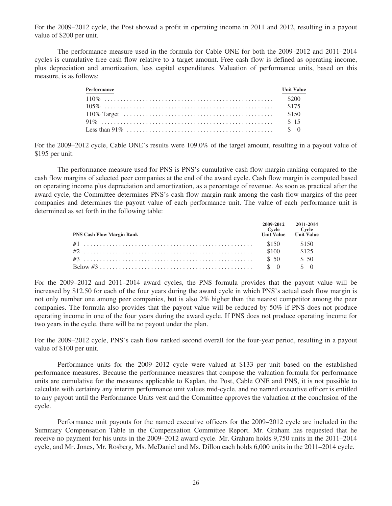For the 2009–2012 cycle, the Post showed a profit in operating income in 2011 and 2012, resulting in a payout value of \$200 per unit.

The performance measure used in the formula for Cable ONE for both the 2009–2012 and 2011–2014 cycles is cumulative free cash flow relative to a target amount. Free cash flow is defined as operating income, plus depreciation and amortization, less capital expenditures. Valuation of performance units, based on this measure, is as follows:

| Performance | <b>Unit Value</b> |
|-------------|-------------------|
|             |                   |
|             |                   |
|             |                   |
|             |                   |
|             |                   |

For the 2009–2012 cycle, Cable ONE's results were 109.0% of the target amount, resulting in a payout value of \$195 per unit.

The performance measure used for PNS is PNS's cumulative cash flow margin ranking compared to the cash flow margins of selected peer companies at the end of the award cycle. Cash flow margin is computed based on operating income plus depreciation and amortization, as a percentage of revenue. As soon as practical after the award cycle, the Committee determines PNS's cash flow margin rank among the cash flow margins of the peer companies and determines the payout value of each performance unit. The value of each performance unit is determined as set forth in the following table:

| <b>PNS Cash Flow Margin Rank</b> | <b>Unit Value</b> | 2009-2012 2011-2014<br>Cycle Cycle<br><b>Unit Value</b> |
|----------------------------------|-------------------|---------------------------------------------------------|
|                                  |                   | \$150                                                   |
|                                  |                   | \$125                                                   |
|                                  |                   | \$50                                                    |
|                                  |                   |                                                         |

For the 2009–2012 and 2011–2014 award cycles, the PNS formula provides that the payout value will be increased by \$12.50 for each of the four years during the award cycle in which PNS's actual cash flow margin is not only number one among peer companies, but is also 2% higher than the nearest competitor among the peer companies. The formula also provides that the payout value will be reduced by 50% if PNS does not produce operating income in one of the four years during the award cycle. If PNS does not produce operating income for two years in the cycle, there will be no payout under the plan.

For the 2009–2012 cycle, PNS's cash flow ranked second overall for the four-year period, resulting in a payout value of \$100 per unit.

Performance units for the 2009–2012 cycle were valued at \$133 per unit based on the established performance measures. Because the performance measures that compose the valuation formula for performance units are cumulative for the measures applicable to Kaplan, the Post, Cable ONE and PNS, it is not possible to calculate with certainty any interim performance unit values mid-cycle, and no named executive officer is entitled to any payout until the Performance Units vest and the Committee approves the valuation at the conclusion of the cycle.

Performance unit payouts for the named executive officers for the 2009–2012 cycle are included in the Summary Compensation Table in the Compensation Committee Report. Mr. Graham has requested that he receive no payment for his units in the 2009–2012 award cycle. Mr. Graham holds 9,750 units in the 2011–2014 cycle, and Mr. Jones, Mr. Rosberg, Ms. McDaniel and Ms. Dillon each holds 6,000 units in the 2011–2014 cycle.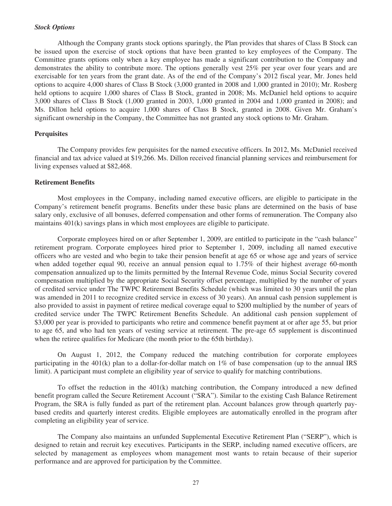#### *Stock Options*

Although the Company grants stock options sparingly, the Plan provides that shares of Class B Stock can be issued upon the exercise of stock options that have been granted to key employees of the Company. The Committee grants options only when a key employee has made a significant contribution to the Company and demonstrates the ability to contribute more. The options generally vest 25% per year over four years and are exercisable for ten years from the grant date. As of the end of the Company's 2012 fiscal year, Mr. Jones held options to acquire 4,000 shares of Class B Stock (3,000 granted in 2008 and 1,000 granted in 2010); Mr. Rosberg held options to acquire 1,000 shares of Class B Stock, granted in 2008; Ms. McDaniel held options to acquire 3,000 shares of Class B Stock (1,000 granted in 2003, 1,000 granted in 2004 and 1,000 granted in 2008); and Ms. Dillon held options to acquire 1,000 shares of Class B Stock, granted in 2008. Given Mr. Graham's significant ownership in the Company, the Committee has not granted any stock options to Mr. Graham.

## **Perquisites**

The Company provides few perquisites for the named executive officers. In 2012, Ms. McDaniel received financial and tax advice valued at \$19,266. Ms. Dillon received financial planning services and reimbursement for living expenses valued at \$82,468.

#### **Retirement Benefits**

Most employees in the Company, including named executive officers, are eligible to participate in the Company's retirement benefit programs. Benefits under these basic plans are determined on the basis of base salary only, exclusive of all bonuses, deferred compensation and other forms of remuneration. The Company also maintains 401(k) savings plans in which most employees are eligible to participate.

Corporate employees hired on or after September 1, 2009, are entitled to participate in the "cash balance" retirement program. Corporate employees hired prior to September 1, 2009, including all named executive officers who are vested and who begin to take their pension benefit at age 65 or whose age and years of service when added together equal 90, receive an annual pension equal to 1.75% of their highest average 60-month compensation annualized up to the limits permitted by the Internal Revenue Code, minus Social Security covered compensation multiplied by the appropriate Social Security offset percentage, multiplied by the number of years of credited service under The TWPC Retirement Benefits Schedule (which was limited to 30 years until the plan was amended in 2011 to recognize credited service in excess of 30 years). An annual cash pension supplement is also provided to assist in payment of retiree medical coverage equal to \$200 multiplied by the number of years of credited service under The TWPC Retirement Benefits Schedule. An additional cash pension supplement of \$3,000 per year is provided to participants who retire and commence benefit payment at or after age 55, but prior to age 65, and who had ten years of vesting service at retirement. The pre-age 65 supplement is discontinued when the retiree qualifies for Medicare (the month prior to the 65th birthday).

On August 1, 2012, the Company reduced the matching contribution for corporate employees participating in the  $401(k)$  plan to a dollar-for-dollar match on 1% of base compensation (up to the annual IRS limit). A participant must complete an eligibility year of service to qualify for matching contributions.

To offset the reduction in the 401(k) matching contribution, the Company introduced a new defined benefit program called the Secure Retirement Account ("SRA"). Similar to the existing Cash Balance Retirement Program, the SRA is fully funded as part of the retirement plan. Account balances grow through quarterly paybased credits and quarterly interest credits. Eligible employees are automatically enrolled in the program after completing an eligibility year of service.

The Company also maintains an unfunded Supplemental Executive Retirement Plan ("SERP"), which is designed to retain and recruit key executives. Participants in the SERP, including named executive officers, are selected by management as employees whom management most wants to retain because of their superior performance and are approved for participation by the Committee.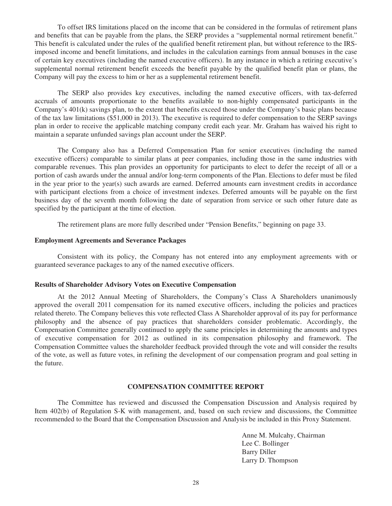To offset IRS limitations placed on the income that can be considered in the formulas of retirement plans and benefits that can be payable from the plans, the SERP provides a "supplemental normal retirement benefit." This benefit is calculated under the rules of the qualified benefit retirement plan, but without reference to the IRSimposed income and benefit limitations, and includes in the calculation earnings from annual bonuses in the case of certain key executives (including the named executive officers). In any instance in which a retiring executive's supplemental normal retirement benefit exceeds the benefit payable by the qualified benefit plan or plans, the Company will pay the excess to him or her as a supplemental retirement benefit.

The SERP also provides key executives, including the named executive officers, with tax-deferred accruals of amounts proportionate to the benefits available to non-highly compensated participants in the Company's 401(k) savings plan, to the extent that benefits exceed those under the Company's basic plans because of the tax law limitations (\$51,000 in 2013). The executive is required to defer compensation to the SERP savings plan in order to receive the applicable matching company credit each year. Mr. Graham has waived his right to maintain a separate unfunded savings plan account under the SERP.

The Company also has a Deferred Compensation Plan for senior executives (including the named executive officers) comparable to similar plans at peer companies, including those in the same industries with comparable revenues. This plan provides an opportunity for participants to elect to defer the receipt of all or a portion of cash awards under the annual and/or long-term components of the Plan. Elections to defer must be filed in the year prior to the year(s) such awards are earned. Deferred amounts earn investment credits in accordance with participant elections from a choice of investment indexes. Deferred amounts will be payable on the first business day of the seventh month following the date of separation from service or such other future date as specified by the participant at the time of election.

The retirement plans are more fully described under "Pension Benefits," beginning on page 33.

## **Employment Agreements and Severance Packages**

Consistent with its policy, the Company has not entered into any employment agreements with or guaranteed severance packages to any of the named executive officers.

# **Results of Shareholder Advisory Votes on Executive Compensation**

At the 2012 Annual Meeting of Shareholders, the Company's Class A Shareholders unanimously approved the overall 2011 compensation for its named executive officers, including the policies and practices related thereto. The Company believes this vote reflected Class A Shareholder approval of its pay for performance philosophy and the absence of pay practices that shareholders consider problematic. Accordingly, the Compensation Committee generally continued to apply the same principles in determining the amounts and types of executive compensation for 2012 as outlined in its compensation philosophy and framework. The Compensation Committee values the shareholder feedback provided through the vote and will consider the results of the vote, as well as future votes, in refining the development of our compensation program and goal setting in the future.

# **COMPENSATION COMMITTEE REPORT**

The Committee has reviewed and discussed the Compensation Discussion and Analysis required by Item 402(b) of Regulation S-K with management, and, based on such review and discussions, the Committee recommended to the Board that the Compensation Discussion and Analysis be included in this Proxy Statement.

> Anne M. Mulcahy, Chairman Lee C. Bollinger Barry Diller Larry D. Thompson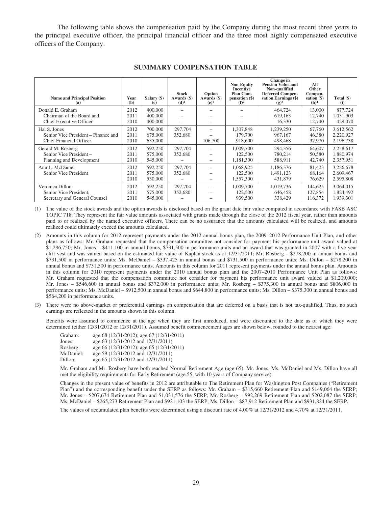The following table shows the compensation paid by the Company during the most recent three years to the principal executive officer, the principal financial officer and the three most highly compensated executive officers of the Company.

| <b>Name and Principal Position</b><br>(a)                                             | Year<br>(b)          | Salary (\$)<br>(c)            | Stock<br>Awards (\$)<br>$(d)^1$ | Option<br>Awards (\$)<br>(e) <sup>1</sup> | <b>Non-Equity</b><br><b>Incentive</b><br><b>Plan Com-</b><br>pensation (\$)<br>$(f)^2$ | Change in<br><b>Pension Value and</b><br>Non-qualified<br><b>Deferred Compen-</b><br>sation Earnings (\$)<br>$(g)^3$ | All<br>Other<br>Compen-<br>sation $(\$)$<br>(h) <sup>4</sup> | Total (\$)<br>(i)                   |
|---------------------------------------------------------------------------------------|----------------------|-------------------------------|---------------------------------|-------------------------------------------|----------------------------------------------------------------------------------------|----------------------------------------------------------------------------------------------------------------------|--------------------------------------------------------------|-------------------------------------|
| Donald E. Graham<br>Chairman of the Board and<br>Chief Executive Officer              | 2012<br>2011<br>2010 | 400,000<br>400,000<br>400,000 |                                 |                                           |                                                                                        | 464,724<br>619,163<br>16,330                                                                                         | 13,000<br>12,740<br>12,740                                   | 877,724<br>1,031,903<br>429,070     |
| Hal S. Jones<br>Senior Vice President – Finance and<br><b>Chief Financial Officer</b> | 2012<br>2011<br>2010 | 700,000<br>675,000<br>635,000 | 297,704<br>352,680              | 106,700                                   | 1,307,848<br>179,700<br>918,600                                                        | 1,239,250<br>967,167<br>498,468                                                                                      | 67,760<br>46,380<br>37,970                                   | 3,612,562<br>2,220,927<br>2,196,738 |
| Gerald M. Rosberg<br>Senior Vice President-<br>Planning and Development               | 2012<br>2011<br>2010 | 592,250<br>575,000<br>545,000 | 297,704<br>352,680              |                                           | 1,009,700<br>122,500<br>1,181,300                                                      | 294.356<br>780,214<br>588,911                                                                                        | 64,607<br>50,580<br>42,740                                   | 2,258,617<br>1,880,974<br>2,357,951 |
| Ann L. McDaniel<br>Senior Vice President                                              | 2012<br>2011<br>2010 | 592,250<br>575,000<br>530,000 | 297,704<br>352,680              |                                           | 1,068,925<br>122,500<br>1,557,300                                                      | 1,186,376<br>1,491,123<br>431,879                                                                                    | 81.423<br>68,164<br>76,629                                   | 3,226,678<br>2,609,467<br>2,595,808 |
| Veronica Dillon<br>Senior Vice President.<br>Secretary and General Counsel            | 2012<br>2011<br>2010 | 592,250<br>575,000<br>545,000 | 297,704<br>352,680              |                                           | 1,009,700<br>122,500<br>939,500                                                        | 1.019.736<br>646,458<br>338,429                                                                                      | 144,625<br>127,854<br>116,372                                | 3,064,015<br>1,824,492<br>1,939,301 |

#### **SUMMARY COMPENSATION TABLE**

(1) The value of the stock awards and the option awards is disclosed based on the grant date fair value computed in accordance with FASB ASC TOPIC 718. They represent the fair value amounts associated with grants made through the close of the 2012 fiscal year, rather than amounts paid to or realized by the named executive officers. There can be no assurance that the amounts calculated will be realized, and amounts realized could ultimately exceed the amounts calculated.

- (2) Amounts in this column for 2012 represent payments under the 2012 annual bonus plan, the 2009–2012 Performance Unit Plan, and other plans as follows: Mr. Graham requested that the compensation committee not consider for payment his performance unit award valued at \$1,296,750; Mr. Jones – \$411,100 in annual bonus, \$731,500 in performance units and an award that was granted in 2007 with a five-year cliff vest and was valued based on the estimated fair value of Kaplan stock as of 12/31/2011; Mr. Rosberg – \$278,200 in annual bonus and \$731,500 in performance units; Ms. McDaniel – \$337,425 in annual bonus and \$731,500 in performance units; Ms. Dillon – \$278,200 in annual bonus and \$731,500 in performance units. Amounts in this column for 2011 represent payments under the annual bonus plan. Amounts in this column for 2010 represent payments under the 2010 annual bonus plan and the 2007–2010 Performance Unit Plan as follows: Mr. Graham requested that the compensation committee not consider for payment his performance unit award valued at \$1,209,000; Mr. Jones – \$546,600 in annual bonus and \$372,000 in performance units; Mr. Rosberg – \$375,300 in annual bonus and \$806,000 in performance units; Ms. McDaniel – \$912,500 in annual bonus and \$644,800 in performance units; Ms. Dillon – \$375,300 in annual bonus and \$564,200 in performance units.
- (3) There were no above-market or preferential earnings on compensation that are deferred on a basis that is not tax-qualified. Thus, no such earnings are reflected in the amounts shown in this column.

Benefits were assumed to commence at the age when they are first unreduced, and were discounted to the date as of which they were determined (either 12/31/2012 or 12/31/2011). Assumed benefit commencement ages are shown below, rounded to the nearest age:

| Graham:   | age 68 (12/31/2012); age 67 (12/31/2011) |
|-----------|------------------------------------------|
| Jones:    | age 63 (12/31/2012 and 12/31/2011)       |
| Rosberg:  | age 66 (12/31/2012); age 65 (12/31/2011) |
| McDaniel: | age 59 (12/31/2012 and 12/31/2011)       |
| Dillon:   | age 65 (12/31/2012 and 12/31/2011)       |

Mr. Graham and Mr. Rosberg have both reached Normal Retirement Age (age 65). Mr. Jones, Ms. McDaniel and Ms. Dillon have all met the eligibility requirements for Early Retirement (age 55, with 10 years of Company service).

Changes in the present value of benefits in 2012 are attributable to The Retirement Plan for Washington Post Companies ("Retirement Plan") and the corresponding benefit under the SERP as follows: Mr. Graham – \$315,660 Retirement Plan and \$149,064 the SERP; Mr. Jones – \$207,674 Retirement Plan and \$1,031,576 the SERP; Mr. Rosberg – \$92,269 Retirement Plan and \$202,087 the SERP; Ms. McDaniel – \$265,273 Retirement Plan and \$921,103 the SERP; Ms. Dillon – \$87,912 Retirement Plan and \$931,824 the SERP.

The values of accumulated plan benefits were determined using a discount rate of 4.00% at 12/31/2012 and 4.70% at 12/31/2011.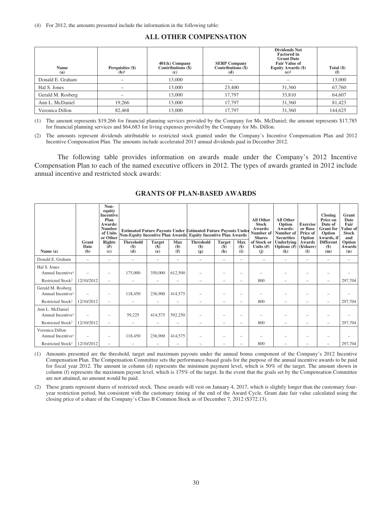## **ALL OTHER COMPENSATION**

| <b>Name</b><br>(a) | Perquisites (\$)<br>$(b)^1$ | $401(k)$ Company<br>Contributions $(\$)$<br>$\left( \mathbf{c} \right)$ | <b>SERP Company</b><br>Contributions $(\dot{\$})$<br>(d) | <b>Dividends Not</b><br><b>Factored in</b><br><b>Grant Date</b><br><b>Fair Value of</b><br><b>Equity Awards (\$)</b><br>$(e)^2$ | Total $(\$)$<br>(f) |
|--------------------|-----------------------------|-------------------------------------------------------------------------|----------------------------------------------------------|---------------------------------------------------------------------------------------------------------------------------------|---------------------|
| Donald E. Graham   |                             | 13,000                                                                  | $\overline{\phantom{a}}$                                 |                                                                                                                                 | 13,000              |
| Hal S. Jones       |                             | 13,000                                                                  | 23,400                                                   | 31,360                                                                                                                          | 67,760              |
| Gerald M. Rosberg  |                             | 13,000                                                                  | 17.797                                                   | 33,810                                                                                                                          | 64,607              |
| Ann L. McDaniel    | 19,266                      | 13,000                                                                  | 17,797                                                   | 31,360                                                                                                                          | 81,423              |
| Veronica Dillon    | 82,468                      | 13,000                                                                  | 17.797                                                   | 31,360                                                                                                                          | 144,625             |

(1) The amount represents \$19,266 for financial planning services provided by the Company for Ms. McDaniel; the amount represents \$17,785 for financial planning services and \$64,683 for living expenses provided by the Company for Ms. Dillon.

(2) The amounts represent dividends attributable to restricted stock granted under the Company's Incentive Compensation Plan and 2012 Incentive Compensation Plan. The amounts include accelerated 2013 annual dividends paid in December 2012.

The following table provides information on awards made under the Company's 2012 Incentive Compensation Plan to each of the named executive officers in 2012. The types of awards granted in 2012 include annual incentive and restricted stock awards:

|                                                    |               | Non-<br>equity<br><b>Incentive</b><br>Plan<br>Awards:<br><b>Number</b><br>of Units<br>or Other | Non-Equity Incentive Plan Awards Equity Incentive Plan Awards |                                              |               | <b>Estimated Future Payouts Under Estimated Future Payouts Under</b> |                         |              | <b>All Other</b><br><b>Stock</b><br>Awards:<br>Number of<br><b>Shares</b> | <b>All Other</b><br>Option<br>Awards:<br>Number of<br><b>Securities</b> | <b>Exercise</b><br>or Base<br>Price of<br>Option | <b>Closing</b><br>Price on<br>Date of<br><b>Grant</b> for<br>Option<br>Awards, if | Grant<br>Date<br>Fair<br>alue of<br><b>Stock</b><br>and |
|----------------------------------------------------|---------------|------------------------------------------------------------------------------------------------|---------------------------------------------------------------|----------------------------------------------|---------------|----------------------------------------------------------------------|-------------------------|--------------|---------------------------------------------------------------------------|-------------------------------------------------------------------------|--------------------------------------------------|-----------------------------------------------------------------------------------|---------------------------------------------------------|
|                                                    | Grant<br>Date | <b>Rights</b><br>#)                                                                            | <b>Threshold</b><br>(S)                                       | <b>Target</b><br>$\left( \mathbf{\$}\right)$ | Max<br>$(\$)$ | <b>Threshold</b><br>$($)$                                            | <b>Target</b><br>$(\$)$ | Max<br>$($)$ | of Stock or<br>Units $(f)$                                                | Underlying<br>Options $(\#)$ (\$/share)                                 | Awards                                           | <b>Different</b><br>$($)$                                                         | Option<br>Awards                                        |
| Name $(a)$                                         | (b)           | $\left( \mathbf{c} \right)$                                                                    | (d)                                                           | (e)                                          | (f)           | (g)                                                                  | (h)                     | (i)          | (i)                                                                       | (k)                                                                     | $\left( \mathbf{I} \right)$                      | (m)                                                                               | (n)                                                     |
| Donald E. Graham                                   | -             | -                                                                                              |                                                               | $\overline{\phantom{0}}$                     |               |                                                                      | -                       | -            | $\overline{\phantom{0}}$                                                  | -                                                                       | -                                                |                                                                                   |                                                         |
| Hal S. Jones<br>Annual Incentive <sup>1</sup>      |               |                                                                                                | 175,000                                                       | 350,000                                      | 612,500       |                                                                      | -                       |              |                                                                           |                                                                         |                                                  |                                                                                   |                                                         |
| Restricted Stock <sup>2</sup>                      | 12/10/2012    | $\qquad \qquad -$                                                                              |                                                               | $\overline{\phantom{0}}$                     |               |                                                                      | -                       | -            | 800                                                                       |                                                                         |                                                  |                                                                                   | 297,704                                                 |
| Gerald M. Rosberg<br>Annual Incentive <sup>1</sup> |               |                                                                                                | 118,450                                                       | 236,900                                      | 414,575       |                                                                      |                         |              |                                                                           |                                                                         |                                                  |                                                                                   |                                                         |
| Restricted Stock <sup>2</sup>                      | 12/10/2012    | -                                                                                              |                                                               |                                              | -             |                                                                      | -                       | -            | 800                                                                       |                                                                         |                                                  |                                                                                   | 297,704                                                 |
| Ann L. McDaniel<br>Annual Incentive <sup>1</sup>   |               |                                                                                                | 59,225                                                        | 414,575                                      | 592,250       |                                                                      | -                       |              |                                                                           |                                                                         |                                                  |                                                                                   |                                                         |
| Restricted Stock <sup>2</sup>                      | 12/10/2012    | -                                                                                              |                                                               | -                                            | -             |                                                                      | -                       | -            | 800                                                                       |                                                                         |                                                  |                                                                                   | 297,704                                                 |
| Veronica Dillon<br>Annual Incentive <sup>1</sup>   |               |                                                                                                | 118,450                                                       | 236,900                                      | 414,575       |                                                                      | -                       |              |                                                                           |                                                                         |                                                  |                                                                                   |                                                         |
| Restricted Stock <sup>2</sup>                      | 12/10/2012    |                                                                                                |                                                               |                                              |               |                                                                      |                         |              | 800                                                                       |                                                                         |                                                  |                                                                                   | 297,704                                                 |

## **GRANTS OF PLAN-BASED AWARDS**

(1) Amounts presented are the threshold, target and maximum payouts under the annual bonus component of the Company's 2012 Incentive Compensation Plan. The Compensation Committee sets the performance-based goals for the purpose of the annual incentive awards to be paid for fiscal year 2012. The amount in column (d) represents the minimum payment level, which is 50% of the target. The amount shown in column (f) represents the maximum payout level, which is 175% of the target. In the event that the goals set by the Compensation Committee are not attained, no amount would be paid.

(2) These grants represent shares of restricted stock. These awards will vest on January 4, 2017, which is slightly longer than the customary fouryear restriction period, but consistent with the customary timing of the end of the Award Cycle. Grant date fair value calculated using the closing price of a share of the Company's Class B Common Stock as of December 7, 2012 (\$372.13).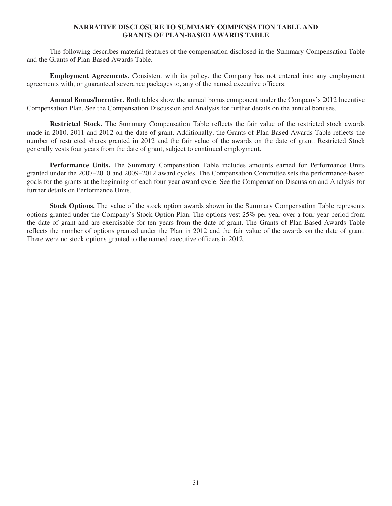# **NARRATIVE DISCLOSURE TO SUMMARY COMPENSATION TABLE AND GRANTS OF PLAN-BASED AWARDS TABLE**

The following describes material features of the compensation disclosed in the Summary Compensation Table and the Grants of Plan-Based Awards Table.

**Employment Agreements.** Consistent with its policy, the Company has not entered into any employment agreements with, or guaranteed severance packages to, any of the named executive officers.

**Annual Bonus/Incentive.** Both tables show the annual bonus component under the Company's 2012 Incentive Compensation Plan. See the Compensation Discussion and Analysis for further details on the annual bonuses.

**Restricted Stock.** The Summary Compensation Table reflects the fair value of the restricted stock awards made in 2010, 2011 and 2012 on the date of grant. Additionally, the Grants of Plan-Based Awards Table reflects the number of restricted shares granted in 2012 and the fair value of the awards on the date of grant. Restricted Stock generally vests four years from the date of grant, subject to continued employment.

**Performance Units.** The Summary Compensation Table includes amounts earned for Performance Units granted under the 2007–2010 and 2009–2012 award cycles. The Compensation Committee sets the performance-based goals for the grants at the beginning of each four-year award cycle. See the Compensation Discussion and Analysis for further details on Performance Units.

**Stock Options.** The value of the stock option awards shown in the Summary Compensation Table represents options granted under the Company's Stock Option Plan. The options vest 25% per year over a four-year period from the date of grant and are exercisable for ten years from the date of grant. The Grants of Plan-Based Awards Table reflects the number of options granted under the Plan in 2012 and the fair value of the awards on the date of grant. There were no stock options granted to the named executive officers in 2012.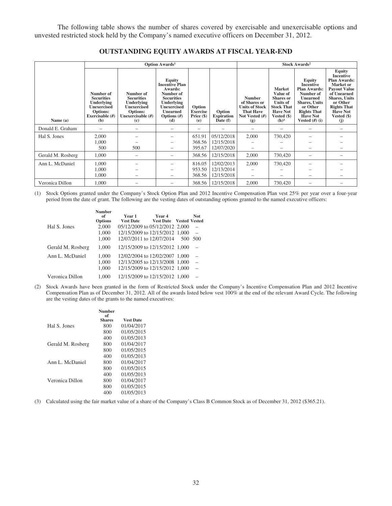The following table shows the number of shares covered by exercisable and unexercisable options and unvested restricted stock held by the Company's named executive officers on December 31, 2012.

|                   | <b>Option Awards</b> <sup>1</sup>                                                                        |                                                                                                                   |                                                                                                                                                                    |                                                  |                                         |                                                                                                     | Stock Awards <sup>2</sup>                                                                                                                     |                                                                                                                                                                                           |                                                                                                                                                                                                                   |  |
|-------------------|----------------------------------------------------------------------------------------------------------|-------------------------------------------------------------------------------------------------------------------|--------------------------------------------------------------------------------------------------------------------------------------------------------------------|--------------------------------------------------|-----------------------------------------|-----------------------------------------------------------------------------------------------------|-----------------------------------------------------------------------------------------------------------------------------------------------|-------------------------------------------------------------------------------------------------------------------------------------------------------------------------------------------|-------------------------------------------------------------------------------------------------------------------------------------------------------------------------------------------------------------------|--|
| Name (a)          | Number of<br><b>Securities</b><br>Underlying<br><b>Unexercised</b><br>Options:<br>Exercisable (#)<br>(b) | Number of<br><b>Securities</b><br><b>Underlying</b><br><b>Unexercised</b><br>Options:<br>Unexercisable (#)<br>(c) | <b>Equity</b><br><b>Incentive Plan</b><br>Awards:<br>Number of<br><b>Securities</b><br>Underlying<br><b>Unexercised</b><br><b>Unearned</b><br>Options $(H)$<br>(d) | Option<br><b>Exercise</b><br>Price $(\$)$<br>(e) | Option<br><b>Expiration</b><br>Date (f) | <b>Number</b><br>of Shares or<br><b>Units of Stock</b><br><b>That Have</b><br>Not Vested (#)<br>(g) | <b>Market</b><br>Value of<br><b>Shares</b> or<br><b>Units of</b><br><b>Stock That</b><br><b>Have Not</b><br>Vested $(\$)$<br>(h) <sup>3</sup> | <b>Equity</b><br><b>Incentive</b><br><b>Plan Awards:</b><br>Number of<br><b>Unearned</b><br><b>Shares, Units</b><br>or Other<br><b>Rights That</b><br><b>Have Not</b><br>Vested $(H)$ (i) | <b>Equity</b><br><b>Incentive</b><br><b>Plan Awards:</b><br>Market or<br><b>Payout Value</b><br>of Unearned<br><b>Shares</b> , Units<br>or Other<br><b>Rights That</b><br><b>Have Not</b><br>Vested $(\$)$<br>(i) |  |
| Donald E. Graham  |                                                                                                          |                                                                                                                   |                                                                                                                                                                    | $\qquad \qquad$                                  |                                         |                                                                                                     |                                                                                                                                               |                                                                                                                                                                                           |                                                                                                                                                                                                                   |  |
| Hal S. Jones      | 2,000                                                                                                    |                                                                                                                   |                                                                                                                                                                    | 651.91                                           | 05/12/2018                              | 2,000                                                                                               | 730,420                                                                                                                                       |                                                                                                                                                                                           |                                                                                                                                                                                                                   |  |
|                   | 1,000                                                                                                    |                                                                                                                   |                                                                                                                                                                    | 368.56                                           | 12/15/2018                              |                                                                                                     |                                                                                                                                               |                                                                                                                                                                                           |                                                                                                                                                                                                                   |  |
|                   | 500                                                                                                      | 500                                                                                                               |                                                                                                                                                                    | 395.67                                           | 12/07/2020                              |                                                                                                     |                                                                                                                                               |                                                                                                                                                                                           |                                                                                                                                                                                                                   |  |
| Gerald M. Rosberg | 1.000                                                                                                    |                                                                                                                   |                                                                                                                                                                    | 368.56                                           | 12/15/2018                              | 2,000                                                                                               | 730,420                                                                                                                                       |                                                                                                                                                                                           |                                                                                                                                                                                                                   |  |
| Ann L. McDaniel   | 1,000                                                                                                    |                                                                                                                   |                                                                                                                                                                    | 816.05                                           | 12/02/2013                              | 2,000                                                                                               | 730,420                                                                                                                                       |                                                                                                                                                                                           |                                                                                                                                                                                                                   |  |
|                   | 1.000                                                                                                    |                                                                                                                   |                                                                                                                                                                    | 953.50                                           | 12/13/2014                              |                                                                                                     |                                                                                                                                               |                                                                                                                                                                                           |                                                                                                                                                                                                                   |  |
|                   | 1.000                                                                                                    |                                                                                                                   |                                                                                                                                                                    | 368.56                                           | 12/15/2018                              | $\overline{\phantom{0}}$                                                                            |                                                                                                                                               |                                                                                                                                                                                           |                                                                                                                                                                                                                   |  |
| Veronica Dillon   | 1.000                                                                                                    |                                                                                                                   |                                                                                                                                                                    | 368.56                                           | 12/15/2018                              | 2,000                                                                                               | 730,420                                                                                                                                       |                                                                                                                                                                                           |                                                                                                                                                                                                                   |  |

# **OUTSTANDING EQUITY AWARDS AT FISCAL YEAR-END**

(1) Stock Options granted under the Company's Stock Option Plan and 2012 Incentive Compensation Plan vest 25% per year over a four-year period from the date of grant. The following are the vesting dates of outstanding options granted to the named executive officers:

|                   | <b>Number</b><br>of<br><b>Options</b> | Year 1<br><b>Vest Date</b>     | Year 4<br><b>Vest Date</b> Vested Vested |     | <b>Not</b> |
|-------------------|---------------------------------------|--------------------------------|------------------------------------------|-----|------------|
| Hal S. Jones      | 2,000                                 | 05/12/2009 to 05/12/2012 2,000 |                                          |     |            |
|                   | 1.000                                 | 12/15/2009 to 12/15/2012 1.000 |                                          |     |            |
|                   | 1.000                                 | 12/07/2011 to 12/07/2014       |                                          | 500 | -500       |
| Gerald M. Rosberg | 1.000                                 | 12/15/2009 to 12/15/2012 1.000 |                                          |     |            |
| Ann L. McDaniel   | 1.000                                 | 12/02/2004 to 12/02/2007 1,000 |                                          |     |            |
|                   | 1.000                                 | 12/13/2005 to 12/13/2008 1,000 |                                          |     |            |
|                   | 1.000                                 | 12/15/2009 to 12/15/2012 1.000 |                                          |     |            |
| Veronica Dillon   | 1.000                                 | 12/15/2009 to 12/15/2012 1.000 |                                          |     |            |

(2) Stock Awards have been granted in the form of Restricted Stock under the Company's Incentive Compensation Plan and 2012 Incentive Compensation Plan as of December 31, 2012. All of the awards listed below vest 100% at the end of the relevant Award Cycle. The following are the vesting dates of the grants to the named executives:

|                   | <b>Number</b><br>of<br><b>Shares</b> | <b>Vest Date</b> |
|-------------------|--------------------------------------|------------------|
| Hal S. Jones      | 800                                  | 01/04/2017       |
|                   | 800                                  | 01/05/2015       |
|                   | 400                                  | 01/05/2013       |
| Gerald M. Rosberg | 800                                  | 01/04/2017       |
|                   | 800                                  | 01/05/2015       |
|                   | 400                                  | 01/05/2013       |
| Ann L. McDaniel   | 800                                  | 01/04/2017       |
|                   | 800                                  | 01/05/2015       |
|                   | 400                                  | 01/05/2013       |
| Veronica Dillon   | 800                                  | 01/04/2017       |
|                   | 800                                  | 01/05/2015       |
|                   | 400                                  | 01/05/2013       |

(3) Calculated using the fair market value of a share of the Company's Class B Common Stock as of December 31, 2012 (\$365.21).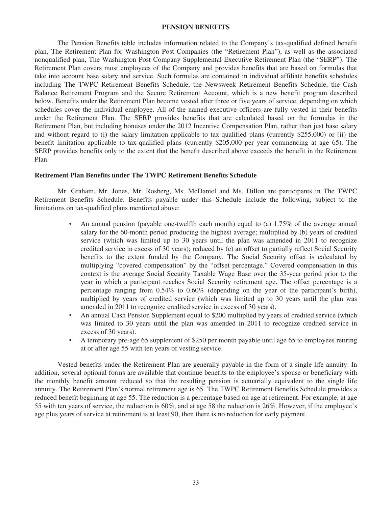#### **PENSION BENEFITS**

The Pension Benefits table includes information related to the Company's tax-qualified defined benefit plan, The Retirement Plan for Washington Post Companies (the "Retirement Plan"), as well as the associated nonqualified plan, The Washington Post Company Supplemental Executive Retirement Plan (the "SERP"). The Retirement Plan covers most employees of the Company and provides benefits that are based on formulas that take into account base salary and service. Such formulas are contained in individual affiliate benefits schedules including The TWPC Retirement Benefits Schedule, the Newsweek Retirement Benefits Schedule, the Cash Balance Retirement Program and the Secure Retirement Account, which is a new benefit program described below. Benefits under the Retirement Plan become vested after three or five years of service, depending on which schedules cover the individual employee. All of the named executive officers are fully vested in their benefits under the Retirement Plan. The SERP provides benefits that are calculated based on the formulas in the Retirement Plan, but including bonuses under the 2012 Incentive Compensation Plan, rather than just base salary and without regard to (i) the salary limitation applicable to tax-qualified plans (currently \$255,000) or (ii) the benefit limitation applicable to tax-qualified plans (currently \$205,000 per year commencing at age 65). The SERP provides benefits only to the extent that the benefit described above exceeds the benefit in the Retirement Plan.

## **Retirement Plan Benefits under The TWPC Retirement Benefits Schedule**

Mr. Graham, Mr. Jones, Mr. Rosberg, Ms. McDaniel and Ms. Dillon are participants in The TWPC Retirement Benefits Schedule. Benefits payable under this Schedule include the following, subject to the limitations on tax-qualified plans mentioned above:

- An annual pension (payable one-twelfth each month) equal to (a) 1.75% of the average annual salary for the 60-month period producing the highest average; multiplied by (b) years of credited service (which was limited up to 30 years until the plan was amended in 2011 to recognize credited service in excess of 30 years); reduced by (c) an offset to partially reflect Social Security benefits to the extent funded by the Company. The Social Security offset is calculated by multiplying "covered compensation" by the "offset percentage." Covered compensation in this context is the average Social Security Taxable Wage Base over the 35-year period prior to the year in which a participant reaches Social Security retirement age. The offset percentage is a percentage ranging from 0.54% to 0.60% (depending on the year of the participant's birth), multiplied by years of credited service (which was limited up to 30 years until the plan was amended in 2011 to recognize credited service in excess of 30 years).
- An annual Cash Pension Supplement equal to \$200 multiplied by years of credited service (which was limited to 30 years until the plan was amended in 2011 to recognize credited service in excess of 30 years).
- A temporary pre-age 65 supplement of \$250 per month payable until age 65 to employees retiring at or after age 55 with ten years of vesting service.

Vested benefits under the Retirement Plan are generally payable in the form of a single life annuity. In addition, several optional forms are available that continue benefits to the employee's spouse or beneficiary with the monthly benefit amount reduced so that the resulting pension is actuarially equivalent to the single life annuity. The Retirement Plan's normal retirement age is 65. The TWPC Retirement Benefits Schedule provides a reduced benefit beginning at age 55. The reduction is a percentage based on age at retirement. For example, at age 55 with ten years of service, the reduction is 60%, and at age 58 the reduction is 26%. However, if the employee's age plus years of service at retirement is at least 90, then there is no reduction for early payment.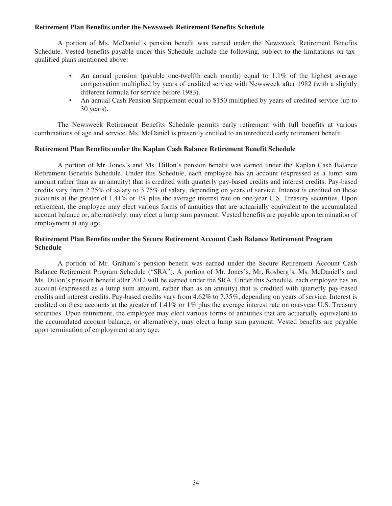## **Retirement Plan Benefits under the Newsweek Retirement Benefits Schedule**

A portion of Ms. McDaniel's pension benefit was earned under the Newsweek Retirement Benefits Schedule. Vested benefits payable under this Schedule include the following, subject to the limitations on taxqualified plans mentioned above:

- An annual pension (payable one-twelfth each month) equal to 1.1% of the highest average compensation multiplied by years of credited service with Newsweek after 1982 (with a slightly different formula for service before 1983).
- An annual Cash Pension Supplement equal to \$150 multiplied by years of credited service (up to 30 years).

The Newsweek Retirement Benefits Schedule permits early retirement with full benefits at various combinations of age and service. Ms. McDaniel is presently entitled to an unreduced early retirement benefit.

## **Retirement Plan Benefits under the Kaplan Cash Balance Retirement Benefit Schedule**

A portion of Mr. Jones's and Ms. Dillon's pension benefit was earned under the Kaplan Cash Balance Retirement Benefits Schedule. Under this Schedule, each employee has an account (expressed as a lump sum amount rather than as an annuity) that is credited with quarterly pay-based credits and interest credits. Pay-based credits vary from 2.25% of salary to 3.75% of salary, depending on years of service. Interest is credited on these accounts at the greater of 1.41% or 1% plus the average interest rate on one-year U.S. Treasury securities. Upon retirement, the employee may elect various forms of annuities that are actuarially equivalent to the accumulated account balance or, alternatively, may elect a lump sum payment. Vested benefits are payable upon termination of employment at any age.

# **Retirement Plan Benefits under the Secure Retirement Account Cash Balance Retirement Program Schedule**

A portion of Mr. Graham's pension benefit was earned under the Secure Retirement Account Cash Balance Retirement Program Schedule ("SRA"). A portion of Mr. Jones's, Mr. Rosberg's, Ms. McDaniel's and Ms. Dillon's pension benefit after 2012 will be earned under the SRA. Under this Schedule, each employee has an account (expressed as a lump sum amount, rather than as an annuity) that is credited with quarterly pay-based credits and interest credits. Pay-based credits vary from 4.62% to 7.35%, depending on years of service. Interest is credited on these accounts at the greater of 1.41% or 1% plus the average interest rate on one-year U.S. Treasury securities. Upon retirement, the employee may elect various forms of annuities that are actuarially equivalent to the accumulated account balance, or alternatively, may elect a lump sum payment. Vested benefits are payable upon termination of employment at any age.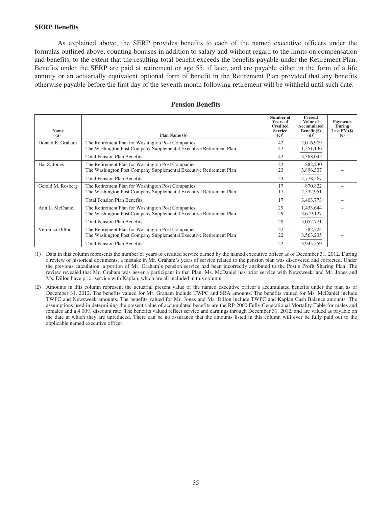## **SERP Benefits**

As explained above, the SERP provides benefits to each of the named executive officers under the formulas outlined above, counting bonuses in addition to salary and without regard to the limits on compensation and benefits, to the extent that the resulting total benefit exceeds the benefits payable under the Retirement Plan. Benefits under the SERP are paid at retirement or age 55, if later, and are payable either in the form of a life annuity or an actuarially equivalent optional form of benefit in the Retirement Plan provided that any benefits otherwise payable before the first day of the seventh month following retirement will be withheld until such date.

|                    |                                                                                                                                     | Number of<br><b>Years of</b><br><b>Credited</b> | Present<br>Value of<br>Accumulated | <b>Payments</b><br>During |
|--------------------|-------------------------------------------------------------------------------------------------------------------------------------|-------------------------------------------------|------------------------------------|---------------------------|
| <b>Name</b><br>(a) | Plan Name (b)                                                                                                                       | <b>Service</b><br>$(c)^1$                       | Benefit (\$)<br>$(d)^2$            | Last $FY($)$<br>(e)       |
| Donald E. Graham   | The Retirement Plan for Washington Post Companies<br>The Washington Post Company Supplemental Executive Retirement Plan             | 2,016,909<br>42<br>42<br>1,351,136              |                                    |                           |
|                    | <b>Total Pension Plan Benefits</b>                                                                                                  | 42                                              | 3,368,045                          |                           |
| Hal S. Jones       | The Retirement Plan for Washington Post Companies<br>23<br>The Washington Post Company Supplemental Executive Retirement Plan<br>23 |                                                 |                                    |                           |
|                    | <b>Total Pension Plan Benefits</b>                                                                                                  | 23                                              | 4,778,567                          |                           |
| Gerald M. Rosberg  | The Retirement Plan for Washington Post Companies<br>The Washington Post Company Supplemental Executive Retirement Plan             | 17<br>870,822<br>17<br>2,532,951                |                                    |                           |
|                    | <b>Total Pension Plan Benefits</b>                                                                                                  | 17                                              | 3,403,773                          |                           |
| Ann L. McDaniel    | The Retirement Plan for Washington Post Companies<br>The Washington Post Company Supplemental Executive Retirement Plan             | 29<br>29                                        | 1,433,644<br>3,619,127             |                           |
|                    | <b>Total Pension Plan Benefits</b>                                                                                                  | 29                                              | 5,052,771                          |                           |
| Veronica Dillon    | The Retirement Plan for Washington Post Companies<br>The Washington Post Company Supplemental Executive Retirement Plan             | 22<br>22                                        | 382,324<br>3,563,235               |                           |
|                    | <b>Total Pension Plan Benefits</b>                                                                                                  | 22                                              | 3,945,559                          |                           |

### **Pension Benefits**

(1) Data in this column represents the number of years of credited service earned by the named executive officer as of December 31, 2012. During a review of historical documents, a mistake in Mr. Graham's years of service related to the pension plan was discovered and corrected. Under the previous calculation, a portion of Mr. Graham's pension service had been incorrectly attributed to the Post's Profit Sharing Plan. The review revealed that Mr. Graham was never a participant in that Plan. Ms. McDaniel has prior service with Newsweek, and Mr. Jones and Ms. Dillon have prior service with Kaplan, which are all included in this column.

(2) Amounts in this column represent the actuarial present value of the named executive officer's accumulated benefits under the plan as of December 31, 2012. The benefits valued for Mr. Graham include TWPC and SRA amounts. The benefits valued for Ms. McDaniel include TWPC and Newsweek amounts. The benefits valued for Mr. Jones and Ms. Dillon include TWPC and Kaplan Cash Balance amounts. The assumptions used in determining the present value of accumulated benefits are the RP-2000 Fully Generational Mortality Table for males and females and a 4.00% discount rate. The benefits valued reflect service and earnings through December 31, 2012, and are valued as payable on the date at which they are unreduced. There can be no assurance that the amounts listed in this column will ever be fully paid out to the applicable named executive officer.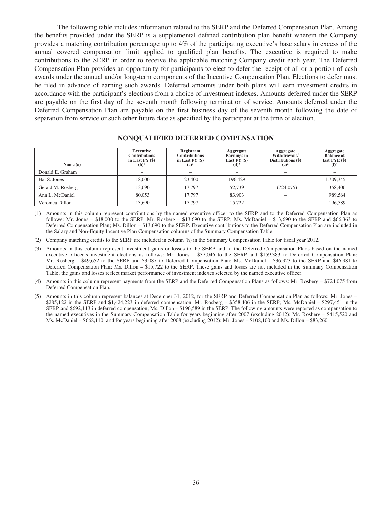The following table includes information related to the SERP and the Deferred Compensation Plan. Among the benefits provided under the SERP is a supplemental defined contribution plan benefit wherein the Company provides a matching contribution percentage up to 4% of the participating executive's base salary in excess of the annual covered compensation limit applied to qualified plan benefits. The executive is required to make contributions to the SERP in order to receive the applicable matching Company credit each year. The Deferred Compensation Plan provides an opportunity for participants to elect to defer the receipt of all or a portion of cash awards under the annual and/or long-term components of the Incentive Compensation Plan. Elections to defer must be filed in advance of earning such awards. Deferred amounts under both plans will earn investment credits in accordance with the participant's elections from a choice of investment indexes. Amounts deferred under the SERP are payable on the first day of the seventh month following termination of service. Amounts deferred under the Deferred Compensation Plan are payable on the first business day of the seventh month following the date of separation from service or such other future date as specified by the participant at the time of election.

| Name $(a)$        | <b>Executive</b><br><b>Contributions</b><br>in Last $FY($ \$)<br>$(b)$ <sup>1</sup> | Registrant<br><b>Contributions</b><br>in Last $FY($ \$)<br>(c) <sup>2</sup> | Aggregate<br><b>Earnings</b> in<br>Last FY (\$)<br>(d) <sup>3</sup> | Aggregate<br>Withdrawals/<br>Distributions (\$)<br>(e) <sup>4</sup> | Aggregate<br><b>Balance at</b><br>last $FYE($)$<br>$(f)^5$ |
|-------------------|-------------------------------------------------------------------------------------|-----------------------------------------------------------------------------|---------------------------------------------------------------------|---------------------------------------------------------------------|------------------------------------------------------------|
| Donald E. Graham  |                                                                                     |                                                                             |                                                                     |                                                                     |                                                            |
| Hal S. Jones      | 18,000                                                                              | 23,400                                                                      | 196,429                                                             |                                                                     | 1,709,345                                                  |
| Gerald M. Rosberg | 13.690                                                                              | 17.797                                                                      | 52,739                                                              | (724, 075)                                                          | 358,406                                                    |
| Ann L. McDaniel   | 80,053                                                                              | 17.797                                                                      | 83,903                                                              |                                                                     | 989,564                                                    |
| Veronica Dillon   | 13,690                                                                              | 17.797                                                                      | 15.722                                                              |                                                                     | 196,589                                                    |

## **NONQUALIFIED DEFERRED COMPENSATION**

(1) Amounts in this column represent contributions by the named executive officer to the SERP and to the Deferred Compensation Plan as follows: Mr. Jones – \$18,000 to the SERP; Mr. Rosberg – \$13,690 to the SERP; Ms. McDaniel – \$13,690 to the SERP and \$66,363 to Deferred Compensation Plan; Ms. Dillon – \$13,690 to the SERP. Executive contributions to the Deferred Compensation Plan are included in the Salary and Non-Equity Incentive Plan Compensation columns of the Summary Compensation Table.

(2) Company matching credits to the SERP are included in column (h) in the Summary Compensation Table for fiscal year 2012.

- (3) Amounts in this column represent investment gains or losses to the SERP and to the Deferred Compensation Plans based on the named executive officer's investment elections as follows: Mr. Jones – \$37,046 to the SERP and \$159,383 to Deferred Compensation Plan; Mr. Rosberg – \$49,652 to the SERP and \$3,087 to Deferred Compensation Plan; Ms. McDaniel – \$36,923 to the SERP and \$46,981 to Deferred Compensation Plan; Ms. Dillon – \$15,722 to the SERP. These gains and losses are not included in the Summary Compensation Table; the gains and losses reflect market performance of investment indexes selected by the named executive officer.
- (4) Amounts in this column represent payments from the SERP and the Deferred Compensation Plans as follows: Mr. Rosberg \$724,075 from Deferred Compensation Plan.
- (5) Amounts in this column represent balances at December 31, 2012, for the SERP and Deferred Compensation Plan as follows: Mr. Jones \$285,122 in the SERP and \$1,424,223 in deferred compensation; Mr. Rosberg – \$358,406 in the SERP; Ms. McDaniel – \$297,451 in the SERP and \$692,113 in deferred compensation; Ms. Dillon – \$196,589 in the SERP. The following amounts were reported as compensation to the named executives in the Summary Compensation Table for years beginning after 2007 (excluding 2012): Mr. Rosberg – \$415,520 and Ms. McDaniel – \$668,110; and for years beginning after 2008 (excluding 2012): Mr. Jones – \$108,100 and Ms. Dillon – \$83,260.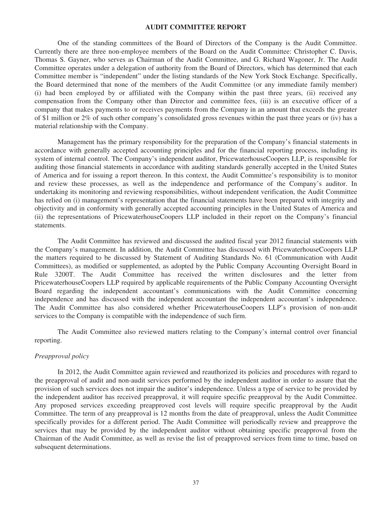#### **AUDIT COMMITTEE REPORT**

One of the standing committees of the Board of Directors of the Company is the Audit Committee. Currently there are three non-employee members of the Board on the Audit Committee: Christopher C. Davis, Thomas S. Gayner, who serves as Chairman of the Audit Committee, and G. Richard Wagoner, Jr. The Audit Committee operates under a delegation of authority from the Board of Directors, which has determined that each Committee member is "independent" under the listing standards of the New York Stock Exchange. Specifically, the Board determined that none of the members of the Audit Committee (or any immediate family member) (i) had been employed by or affiliated with the Company within the past three years, (ii) received any compensation from the Company other than Director and committee fees, (iii) is an executive officer of a company that makes payments to or receives payments from the Company in an amount that exceeds the greater of \$1 million or 2% of such other company's consolidated gross revenues within the past three years or (iv) has a material relationship with the Company.

Management has the primary responsibility for the preparation of the Company's financial statements in accordance with generally accepted accounting principles and for the financial reporting process, including its system of internal control. The Company's independent auditor, PricewaterhouseCoopers LLP, is responsible for auditing those financial statements in accordance with auditing standards generally accepted in the United States of America and for issuing a report thereon. In this context, the Audit Committee's responsibility is to monitor and review these processes, as well as the independence and performance of the Company's auditor. In undertaking its monitoring and reviewing responsibilities, without independent verification, the Audit Committee has relied on (i) management's representation that the financial statements have been prepared with integrity and objectivity and in conformity with generally accepted accounting principles in the United States of America and (ii) the representations of PricewaterhouseCoopers LLP included in their report on the Company's financial statements.

The Audit Committee has reviewed and discussed the audited fiscal year 2012 financial statements with the Company's management. In addition, the Audit Committee has discussed with PricewaterhouseCoopers LLP the matters required to be discussed by Statement of Auditing Standards No. 61 (Communication with Audit Committees), as modified or supplemented, as adopted by the Public Company Accounting Oversight Board in Rule 3200T. The Audit Committee has received the written disclosures and the letter from PricewaterhouseCoopers LLP required by applicable requirements of the Public Company Accounting Oversight Board regarding the independent accountant's communications with the Audit Committee concerning independence and has discussed with the independent accountant the independent accountant's independence. The Audit Committee has also considered whether PricewaterhouseCoopers LLP's provision of non-audit services to the Company is compatible with the independence of such firm.

The Audit Committee also reviewed matters relating to the Company's internal control over financial reporting.

## *Preapproval policy*

In 2012, the Audit Committee again reviewed and reauthorized its policies and procedures with regard to the preapproval of audit and non-audit services performed by the independent auditor in order to assure that the provision of such services does not impair the auditor's independence. Unless a type of service to be provided by the independent auditor has received preapproval, it will require specific preapproval by the Audit Committee. Any proposed services exceeding preapproved cost levels will require specific preapproval by the Audit Committee. The term of any preapproval is 12 months from the date of preapproval, unless the Audit Committee specifically provides for a different period. The Audit Committee will periodically review and preapprove the services that may be provided by the independent auditor without obtaining specific preapproval from the Chairman of the Audit Committee, as well as revise the list of preapproved services from time to time, based on subsequent determinations.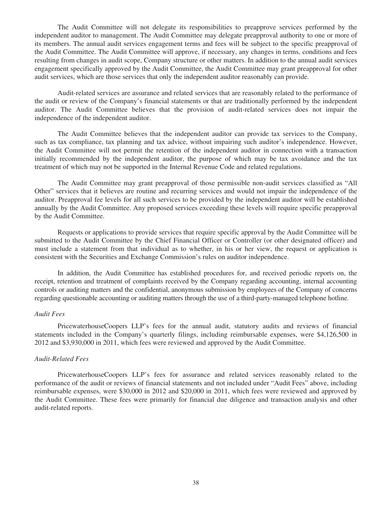The Audit Committee will not delegate its responsibilities to preapprove services performed by the independent auditor to management. The Audit Committee may delegate preapproval authority to one or more of its members. The annual audit services engagement terms and fees will be subject to the specific preapproval of the Audit Committee. The Audit Committee will approve, if necessary, any changes in terms, conditions and fees resulting from changes in audit scope, Company structure or other matters. In addition to the annual audit services engagement specifically approved by the Audit Committee, the Audit Committee may grant preapproval for other audit services, which are those services that only the independent auditor reasonably can provide.

Audit-related services are assurance and related services that are reasonably related to the performance of the audit or review of the Company's financial statements or that are traditionally performed by the independent auditor. The Audit Committee believes that the provision of audit-related services does not impair the independence of the independent auditor.

The Audit Committee believes that the independent auditor can provide tax services to the Company, such as tax compliance, tax planning and tax advice, without impairing such auditor's independence. However, the Audit Committee will not permit the retention of the independent auditor in connection with a transaction initially recommended by the independent auditor, the purpose of which may be tax avoidance and the tax treatment of which may not be supported in the Internal Revenue Code and related regulations.

The Audit Committee may grant preapproval of those permissible non-audit services classified as "All Other" services that it believes are routine and recurring services and would not impair the independence of the auditor. Preapproval fee levels for all such services to be provided by the independent auditor will be established annually by the Audit Committee. Any proposed services exceeding these levels will require specific preapproval by the Audit Committee.

Requests or applications to provide services that require specific approval by the Audit Committee will be submitted to the Audit Committee by the Chief Financial Officer or Controller (or other designated officer) and must include a statement from that individual as to whether, in his or her view, the request or application is consistent with the Securities and Exchange Commission's rules on auditor independence.

In addition, the Audit Committee has established procedures for, and received periodic reports on, the receipt, retention and treatment of complaints received by the Company regarding accounting, internal accounting controls or auditing matters and the confidential, anonymous submission by employees of the Company of concerns regarding questionable accounting or auditing matters through the use of a third-party-managed telephone hotline.

#### *Audit Fees*

PricewaterhouseCoopers LLP's fees for the annual audit, statutory audits and reviews of financial statements included in the Company's quarterly filings, including reimbursable expenses, were \$4,126,500 in 2012 and \$3,930,000 in 2011, which fees were reviewed and approved by the Audit Committee.

# *Audit-Related Fees*

PricewaterhouseCoopers LLP's fees for assurance and related services reasonably related to the performance of the audit or reviews of financial statements and not included under "Audit Fees" above, including reimbursable expenses, were \$30,000 in 2012 and \$20,000 in 2011, which fees were reviewed and approved by the Audit Committee. These fees were primarily for financial due diligence and transaction analysis and other audit-related reports.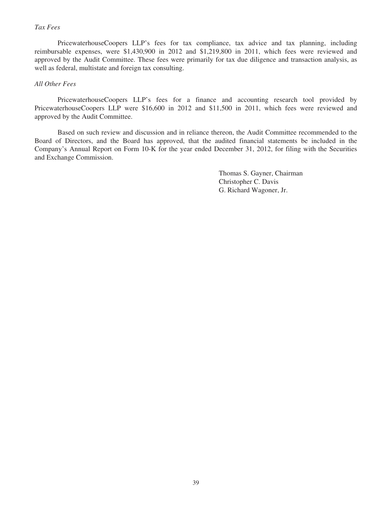# *Tax Fees*

PricewaterhouseCoopers LLP's fees for tax compliance, tax advice and tax planning, including reimbursable expenses, were \$1,430,900 in 2012 and \$1,219,800 in 2011, which fees were reviewed and approved by the Audit Committee. These fees were primarily for tax due diligence and transaction analysis, as well as federal, multistate and foreign tax consulting.

## *All Other Fees*

PricewaterhouseCoopers LLP's fees for a finance and accounting research tool provided by PricewaterhouseCoopers LLP were \$16,600 in 2012 and \$11,500 in 2011, which fees were reviewed and approved by the Audit Committee.

Based on such review and discussion and in reliance thereon, the Audit Committee recommended to the Board of Directors, and the Board has approved, that the audited financial statements be included in the Company's Annual Report on Form 10-K for the year ended December 31, 2012, for filing with the Securities and Exchange Commission.

> Thomas S. Gayner, Chairman Christopher C. Davis G. Richard Wagoner, Jr.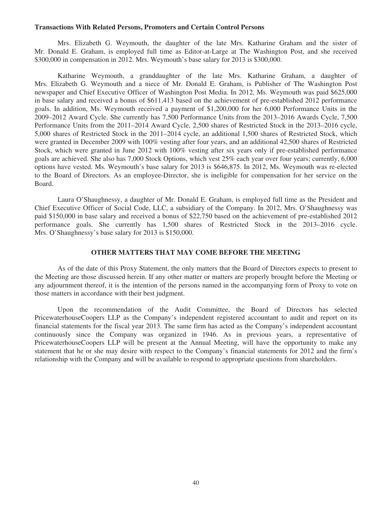#### **Transactions With Related Persons, Promoters and Certain Control Persons**

Mrs. Elizabeth G. Weymouth, the daughter of the late Mrs. Katharine Graham and the sister of Mr. Donald E. Graham, is employed full time as Editor-at-Large at The Washington Post, and she received \$300,000 in compensation in 2012. Mrs. Weymouth's base salary for 2013 is \$300,000.

Katharine Weymouth, a granddaughter of the late Mrs. Katharine Graham, a daughter of Mrs. Elizabeth G. Weymouth and a niece of Mr. Donald E. Graham, is Publisher of The Washington Post newspaper and Chief Executive Officer of Washington Post Media. In 2012, Ms. Weymouth was paid \$625,000 in base salary and received a bonus of \$611,413 based on the achievement of pre-established 2012 performance goals. In addition, Ms. Weymouth received a payment of \$1,200,000 for her 6,000 Performance Units in the 2009–2012 Award Cycle. She currently has 7,500 Performance Units from the 2013–2016 Awards Cycle, 7,500 Performance Units from the 2011–2014 Award Cycle, 2,500 shares of Restricted Stock in the 2013–2016 cycle, 5,000 shares of Restricted Stock in the 2011–2014 cycle, an additional 1,500 shares of Restricted Stock, which were granted in December 2009 with 100% vesting after four years, and an additional 42,500 shares of Restricted Stock, which were granted in June 2012 with 100% vesting after six years only if pre-established performance goals are achieved. She also has 7,000 Stock Options, which vest 25% each year over four years; currently, 6,000 options have vested. Ms. Weymouth's base salary for 2013 is \$646,875. In 2012, Ms. Weymouth was re-elected to the Board of Directors. As an employee-Director, she is ineligible for compensation for her service on the Board.

Laura O'Shaughnessy, a daughter of Mr. Donald E. Graham, is employed full time as the President and Chief Executive Officer of Social Code, LLC, a subsidiary of the Company. In 2012, Mrs. O'Shaughnessy was paid \$150,000 in base salary and received a bonus of \$22,750 based on the achievement of pre-established 2012 performance goals. She currently has 1,500 shares of Restricted Stock in the 2013–2016 cycle. Mrs. O'Shaughnessy's base salary for 2013 is \$150,000.

## **OTHER MATTERS THAT MAY COME BEFORE THE MEETING**

As of the date of this Proxy Statement, the only matters that the Board of Directors expects to present to the Meeting are those discussed herein. If any other matter or matters are properly brought before the Meeting or any adjournment thereof, it is the intention of the persons named in the accompanying form of Proxy to vote on those matters in accordance with their best judgment.

Upon the recommendation of the Audit Committee, the Board of Directors has selected PricewaterhouseCoopers LLP as the Company's independent registered accountant to audit and report on its financial statements for the fiscal year 2013. The same firm has acted as the Company's independent accountant continuously since the Company was organized in 1946. As in previous years, a representative of PricewaterhouseCoopers LLP will be present at the Annual Meeting, will have the opportunity to make any statement that he or she may desire with respect to the Company's financial statements for 2012 and the firm's relationship with the Company and will be available to respond to appropriate questions from shareholders.